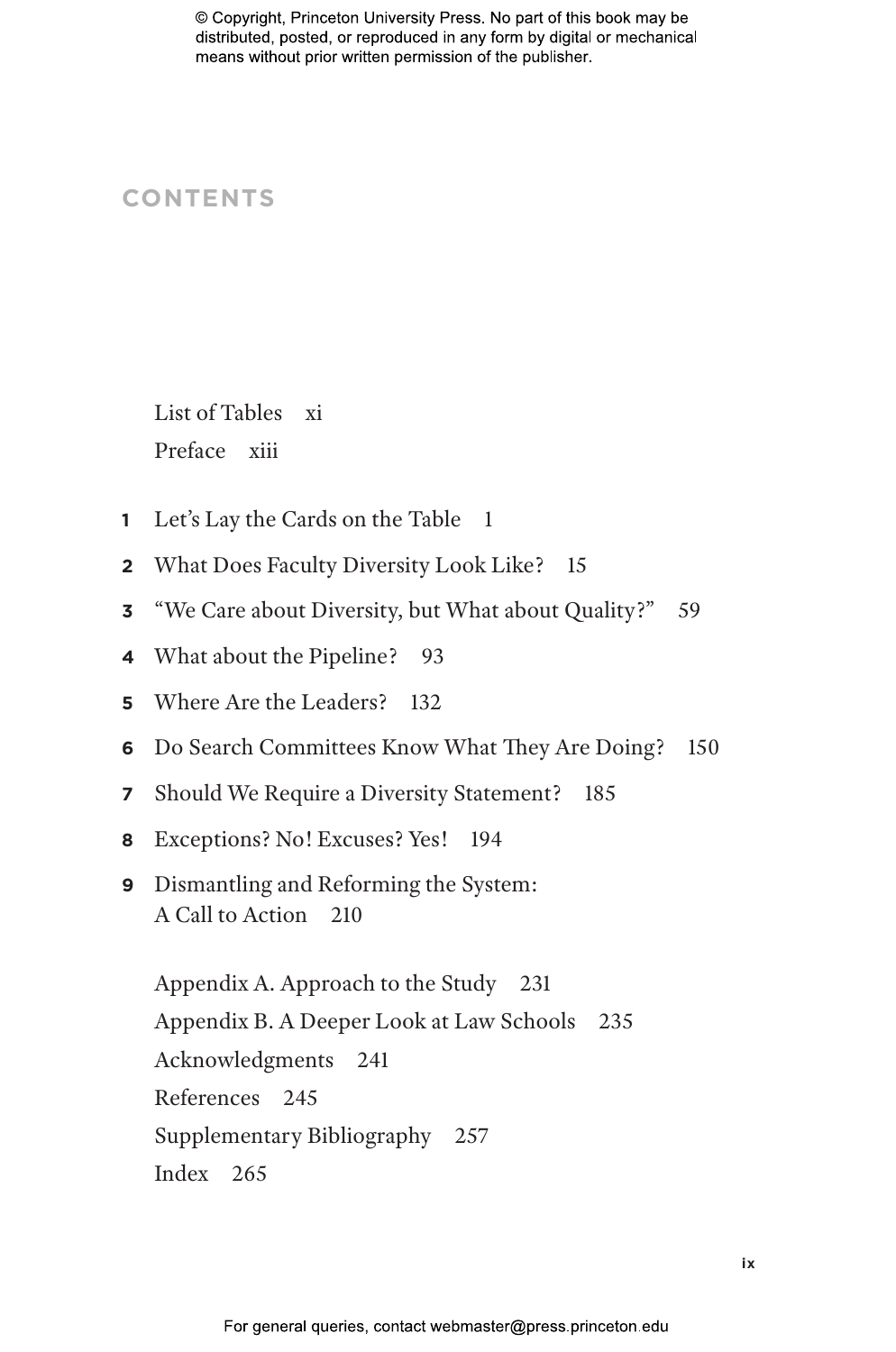# **CONTENTS**

List of Tables xi Preface xiii

- **1** Let's Lay the Cards on the Table 1
- **2** What Does Faculty Diversity Look Like? 15
- **3** "We Care about Diversity, but What about Quality?" 59
- **4** What about the Pipeline? 93
- **5** Where Are the Leaders? 132
- **6** Do Search Committees Know What They Are Doing? 150
- **7** Should We Require a Diversity Statement? 185
- **8** Exceptions? No! Excuses? Yes! 194
- **9** Dismantling and Reforming the System: A Call to Action 210

Appendix A. Approach to the Study 231 Appendix B. A Deeper Look at Law Schools 235 Acknowledgments 241 References 245 Supplementary Bibliography 257 Index 265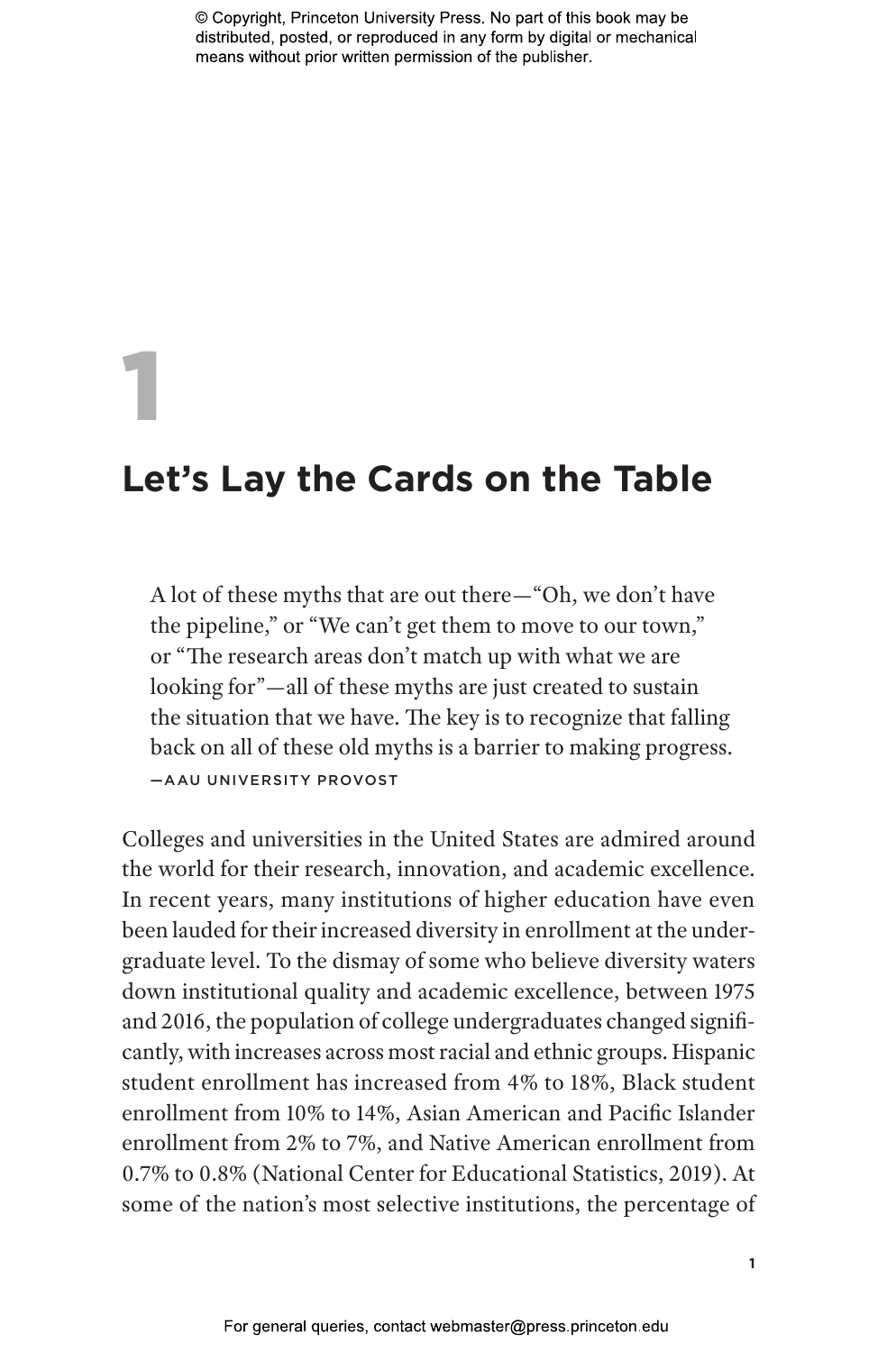# **Let's Lay the Cards on the Table**

1

A lot of these myths that are out there—"Oh, we don't have the pipeline," or "We can't get them to move to our town," or "The research areas don't match up with what we are looking for"—all of these myths are just created to sustain the situation that we have. The key is to recognize that falling back on all of these old myths is a barrier to making progress. —AAU UNIVERSITY PROVOST

Colleges and universities in the United States are admired around the world for their research, innovation, and academic excellence. In recent years, many institutions of higher education have even been lauded for their increased diversity in enrollment at the undergraduate level. To the dismay of some who believe diversity waters down institutional quality and academic excellence, between 1975 and 2016, the population of college undergraduates changed significantly, with increases across most racial and ethnic groups. Hispanic student enrollment has increased from 4% to 18%, Black student enrollment from 10% to 14%, Asian American and Pacific Islander enrollment from 2% to 7%, and Native American enrollment from 0.7% to 0.8% (National Center for Educational Statistics, 2019). At some of the nation's most selective institutions, the percentage of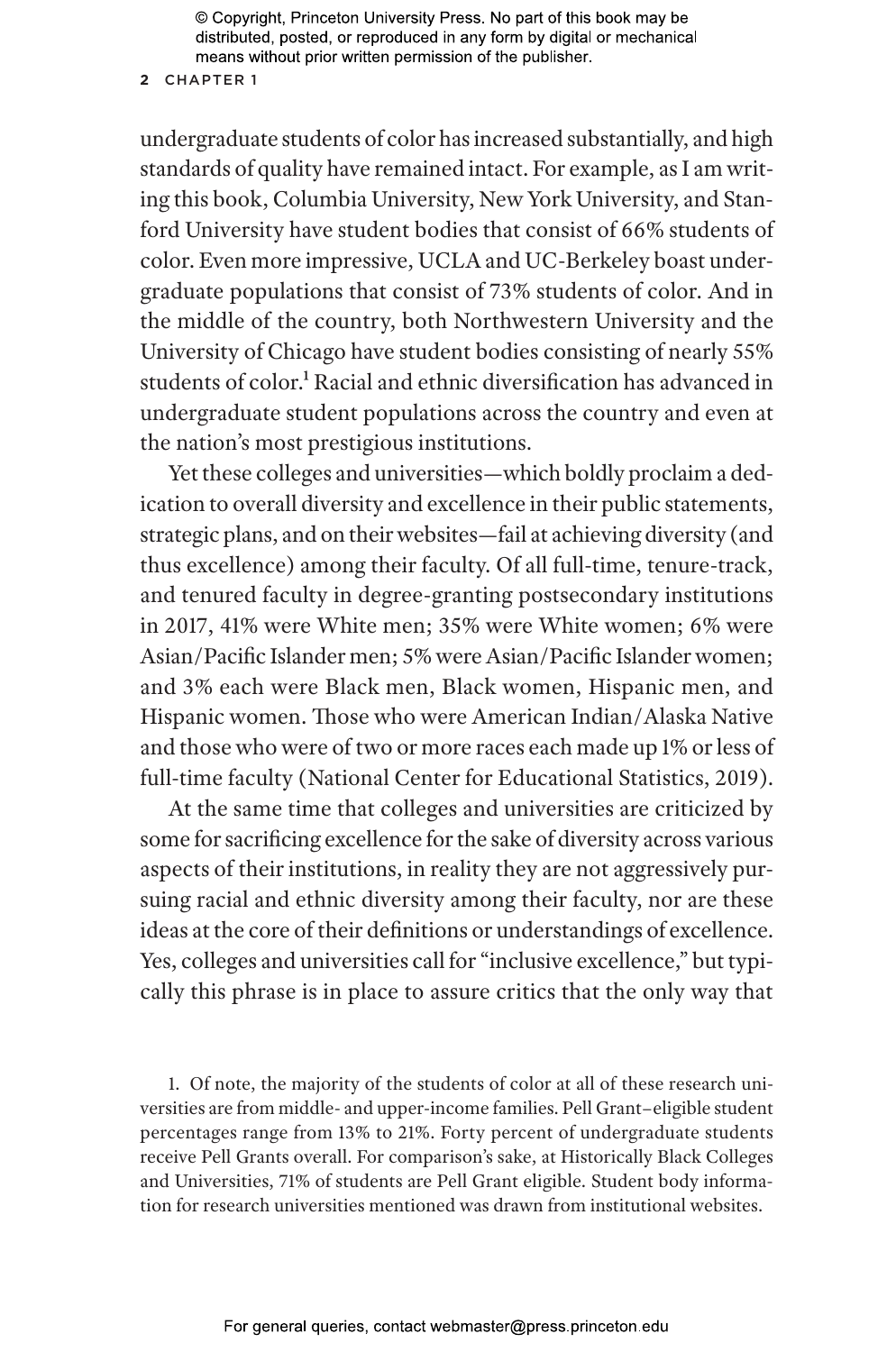#### **2** CHAPTER 1

undergraduate students of color has increased substantially, and high standards of quality have remained intact. For example, as I am writing this book, Columbia University, New York University, and Stanford University have student bodies that consist of 66% students of color. Even more impressive, UCLA and UC-Berkeley boast undergraduate populations that consist of 73% students of color. And in the middle of the country, both Northwestern University and the University of Chicago have student bodies consisting of nearly 55% students of color.<sup>1</sup> Racial and ethnic diversification has advanced in undergraduate student populations across the country and even at the nation's most prestigious institutions.

Yet these colleges and universities—which boldly proclaim a dedication to overall diversity and excellence in their public statements, strategic plans, and on their websites—fail at achieving diversity (and thus excellence) among their faculty. Of all full-time, tenure-track, and tenured faculty in degree-granting postsecondary institutions in 2017, 41% were White men; 35% were White women; 6% were Asian/Pacific Islander men; 5% were Asian/Pacific Islander women; and 3% each were Black men, Black women, Hispanic men, and Hispanic women. Those who were American Indian/Alaska Native and those who were of two or more races each made up 1% or less of full-time faculty (National Center for Educational Statistics, 2019).

At the same time that colleges and universities are criticized by some for sacrificing excellence for the sake of diversity across various aspects of their institutions, in reality they are not aggressively pursuing racial and ethnic diversity among their faculty, nor are these ideas at the core of their definitions or understandings of excellence. Yes, colleges and universities call for "inclusive excellence," but typically this phrase is in place to assure critics that the only way that

1. Of note, the majority of the students of color at all of these research universities are from middle- and upper-income families. Pell Grant–eligible student percentages range from 13% to 21%. Forty percent of undergraduate students receive Pell Grants overall. For comparison's sake, at Historically Black Colleges and Universities, 71% of students are Pell Grant eligible. Student body information for research universities mentioned was drawn from institutional websites.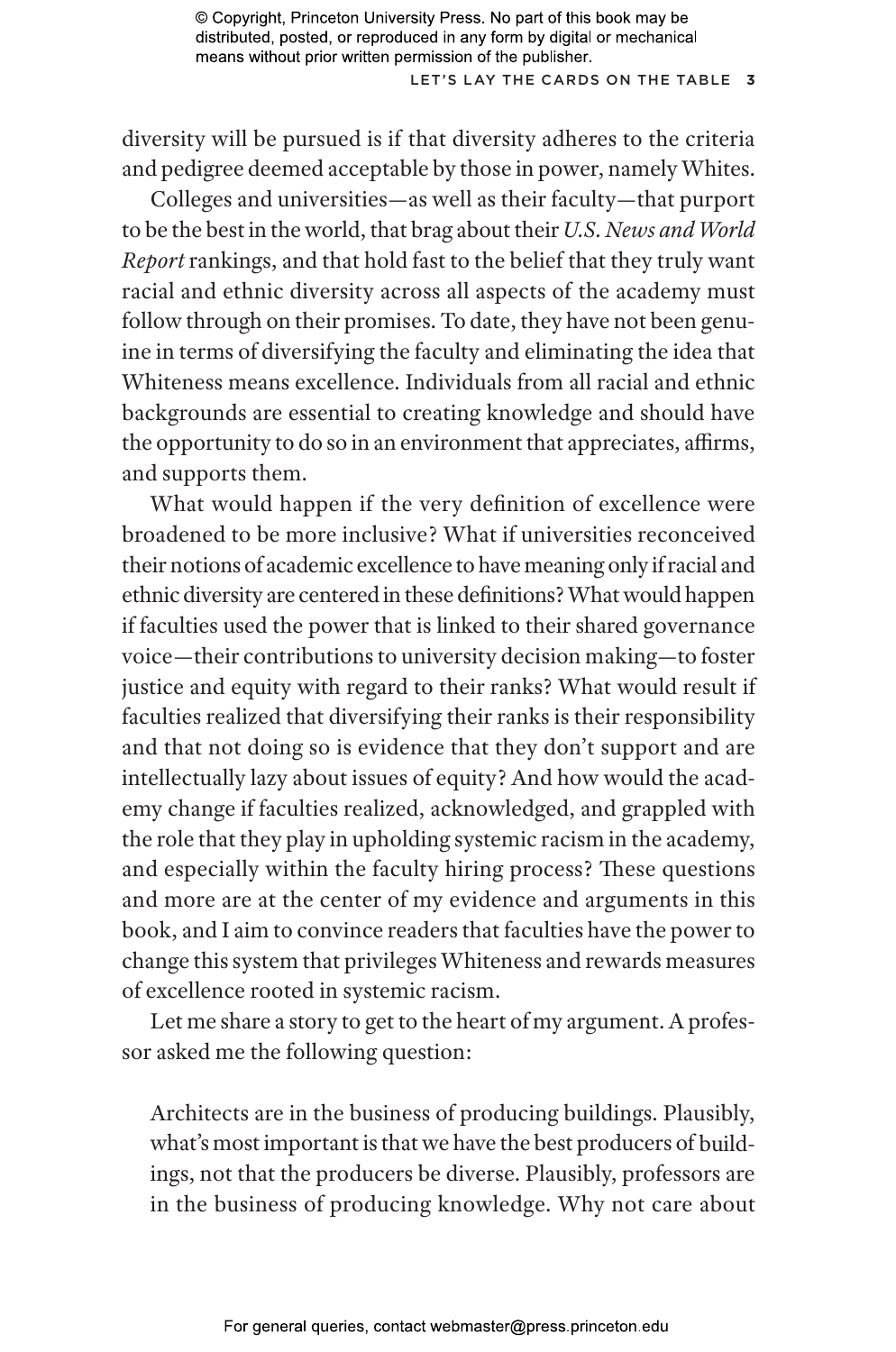Let's Lay the Cards on the Table  **3**

diversity will be pursued is if that diversity adheres to the criteria and pedigree deemed acceptable by those in power, namely Whites.

Colleges and universities—as well as their faculty—that purport to be the best in the world, that brag about their *U.S. News and World Report* rankings, and that hold fast to the belief that they truly want racial and ethnic diversity across all aspects of the academy must follow through on their promises. To date, they have not been genuine in terms of diversifying the faculty and eliminating the idea that Whiteness means excellence. Individuals from all racial and ethnic backgrounds are essential to creating knowledge and should have the opportunity to do so in an environment that appreciates, affirms, and supports them.

What would happen if the very definition of excellence were broadened to be more inclusive? What if universities reconceived their notions of academic excellence to have meaning only if racial and ethnic diversity are centered in these definitions? What would happen if faculties used the power that is linked to their shared governance voice—their contributions to university decision making—to foster justice and equity with regard to their ranks? What would result if faculties realized that diversifying their ranks is their responsibility and that not doing so is evidence that they don't support and are intellectually lazy about issues of equity? And how would the academy change if faculties realized, acknowledged, and grappled with the role that they play in upholding systemic racism in the academy, and especially within the faculty hiring process? These questions and more are at the center of my evidence and arguments in this book, and I aim to convince readers that faculties have the power to change this system that privileges Whiteness and rewards measures of excellence rooted in systemic racism.

Let me share a story to get to the heart of my argument. A professor asked me the following question:

Architects are in the business of producing buildings. Plausibly, what's most important is that we have the best producers of buildings, not that the producers be diverse. Plausibly, professors are in the business of producing knowledge. Why not care about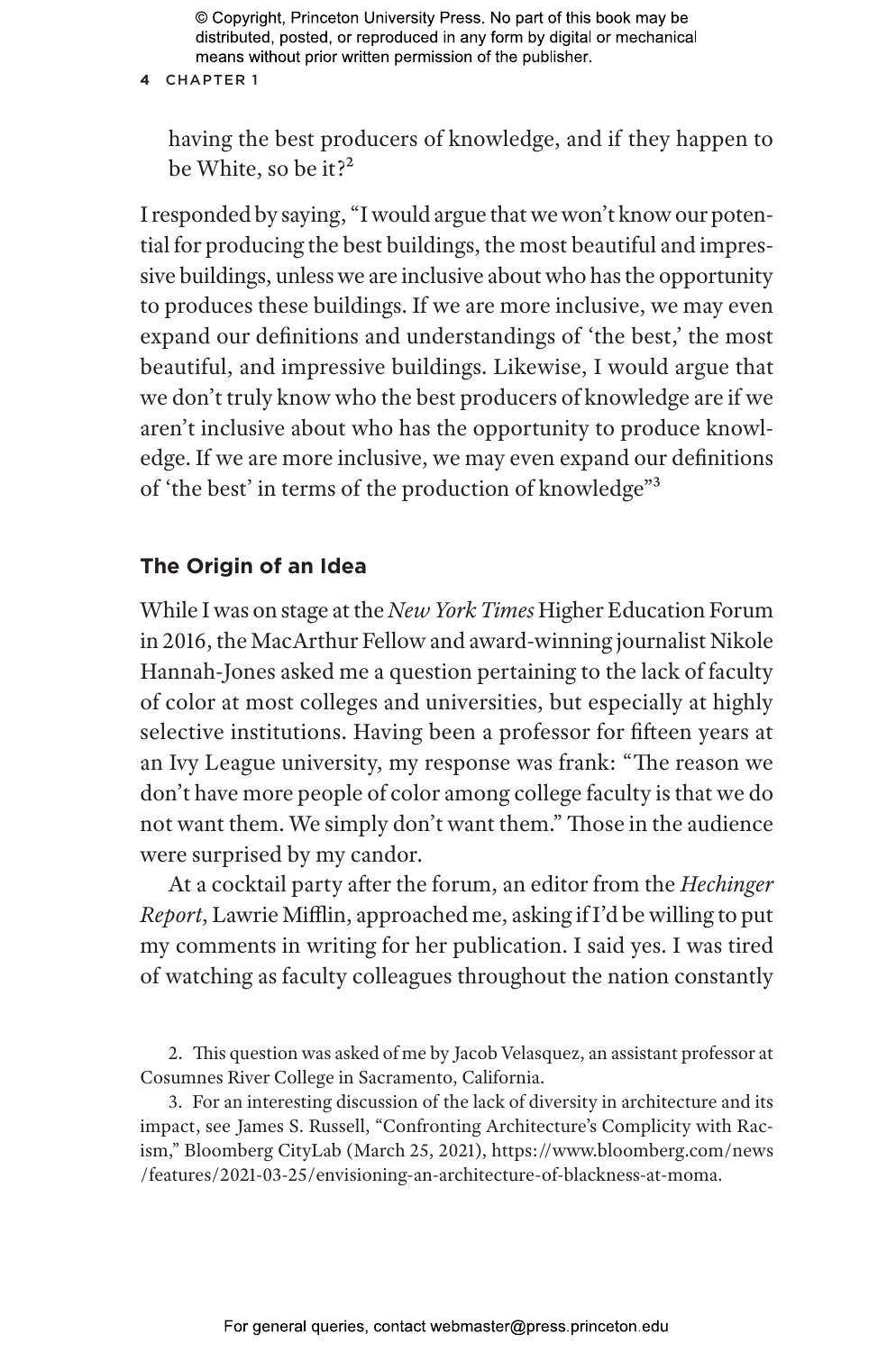**4** CHAPTER 1

having the best producers of knowledge, and if they happen to be White, so be it?<sup>2</sup>

I responded by saying, "I would argue that we won't know our potential for producing the best buildings, the most beautiful and impressive buildings, unless we are inclusive about who has the opportunity to produces these buildings. If we are more inclusive, we may even expand our definitions and understandings of 'the best,' the most beautiful, and impressive buildings. Likewise, I would argue that we don't truly know who the best producers of knowledge are if we aren't inclusive about who has the opportunity to produce knowledge. If we are more inclusive, we may even expand our definitions of 'the best' in terms of the production of knowledge"3

## **The Origin of an Idea**

While I was on stage at the *New York Times* Higher Education Forum in 2016, the MacArthur Fellow and award-winning journalist Nikole Hannah-Jones asked me a question pertaining to the lack of faculty of color at most colleges and universities, but especially at highly selective institutions. Having been a professor for fifteen years at an Ivy League university, my response was frank: "The reason we don't have more people of color among college faculty is that we do not want them. We simply don't want them." Those in the audience were surprised by my candor.

At a cocktail party after the forum, an editor from the *Hechinger Report*, Lawrie Mifflin, approached me, asking if I'd be willing to put my comments in writing for her publication. I said yes. I was tired of watching as faculty colleagues throughout the nation constantly

2. This question was asked of me by Jacob Velasquez, an assistant professor at Cosumnes River College in Sacramento, California.

3. For an interesting discussion of the lack of diversity in architecture and its impact, see James S. Russell, "Confronting Architecture's Complicity with Racism," Bloomberg CityLab (March 25, 2021), https://www.bloomberg.com/news /features/2021-03-25/envisioning-an-architecture-of-blackness-at-moma.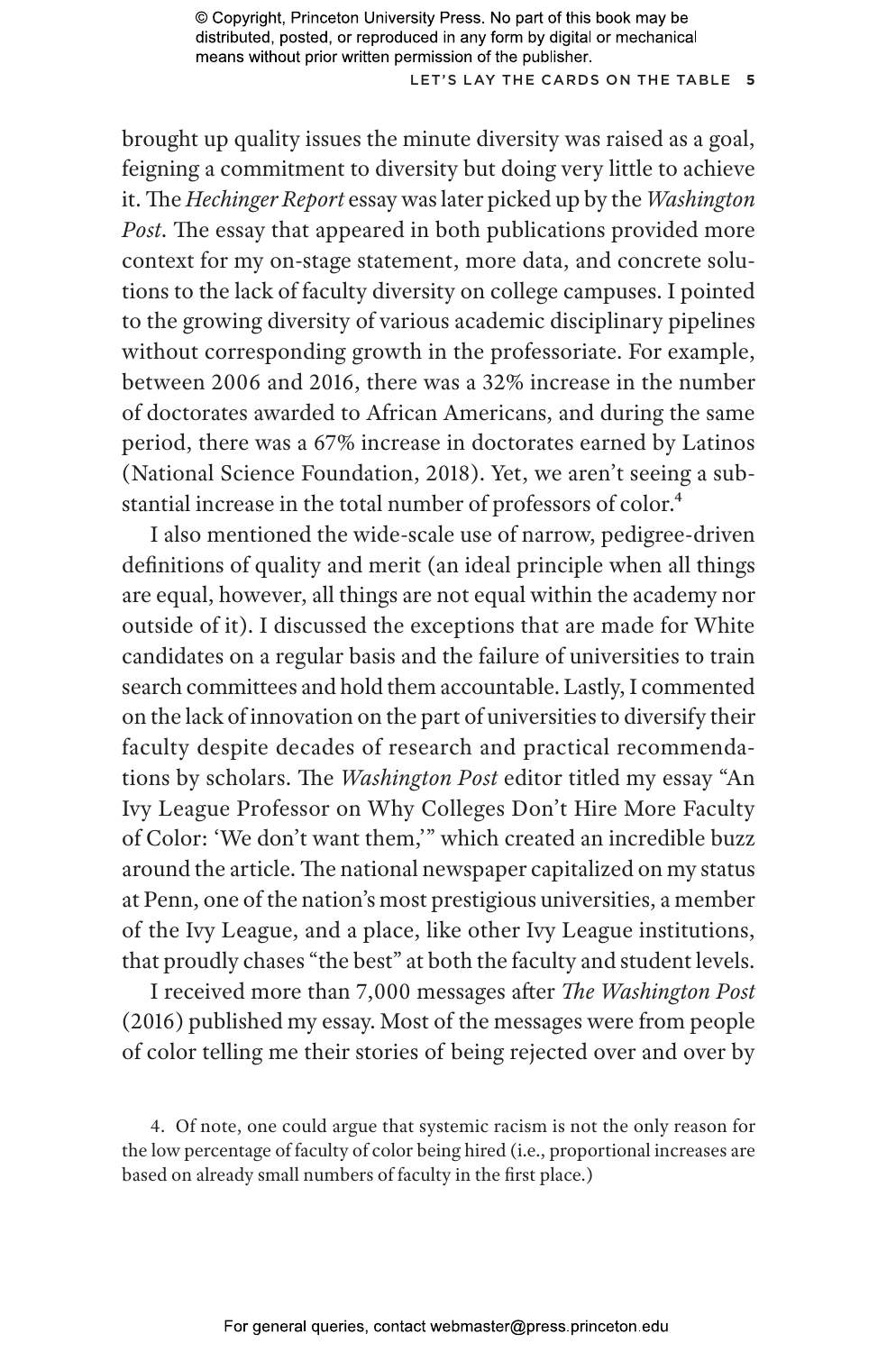Let's Lay the Cards on the Table  **5**

brought up quality issues the minute diversity was raised as a goal, feigning a commitment to diversity but doing very little to achieve it. The *Hechinger Report* essay was later picked up by the *Washington Post*. The essay that appeared in both publications provided more context for my on-stage statement, more data, and concrete solutions to the lack of faculty diversity on college campuses. I pointed to the growing diversity of various academic disciplinary pipelines without corresponding growth in the professoriate. For example, between 2006 and 2016, there was a 32% increase in the number of doctorates awarded to African Americans, and during the same period, there was a 67% increase in doctorates earned by Latinos (National Science Foundation, 2018). Yet, we aren't seeing a substantial increase in the total number of professors of color.4

I also mentioned the wide-scale use of narrow, pedigree-driven definitions of quality and merit (an ideal principle when all things are equal, however, all things are not equal within the academy nor outside of it). I discussed the exceptions that are made for White candidates on a regular basis and the failure of universities to train search committees and hold them accountable. Lastly, I commented on the lack of innovation on the part of universities to diversify their faculty despite decades of research and practical recommendations by scholars. The *Washington Post* editor titled my essay "An Ivy League Professor on Why Colleges Don't Hire More Faculty of Color: 'We don't want them,'" which created an incredible buzz around the article. The national newspaper capitalized on my status at Penn, one of the nation's most prestigious universities, a member of the Ivy League, and a place, like other Ivy League institutions, that proudly chases "the best" at both the faculty and student levels.

I received more than 7,000 messages after *The Washington Post* (2016) published my essay. Most of the messages were from people of color telling me their stories of being rejected over and over by

4. Of note, one could argue that systemic racism is not the only reason for the low percentage of faculty of color being hired (i.e., proportional increases are based on already small numbers of faculty in the first place.)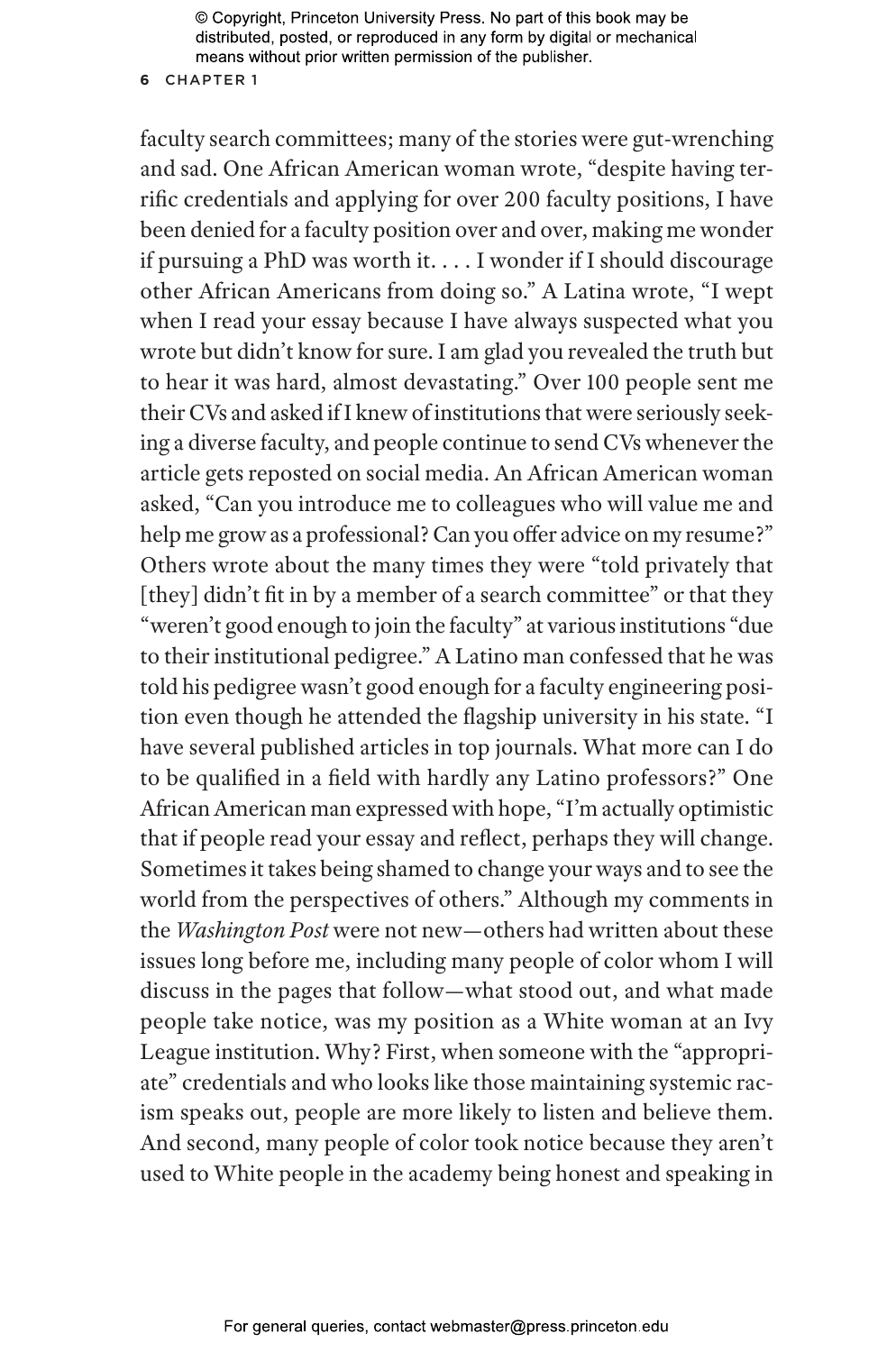#### **6** CHAPTER 1

faculty search committees; many of the stories were gut-wrenching and sad. One African American woman wrote, "despite having terrific credentials and applying for over 200 faculty positions, I have been denied for a faculty position over and over, making me wonder if pursuing a PhD was worth it. . . . I wonder if I should discourage other African Americans from doing so." A Latina wrote, "I wept when I read your essay because I have always suspected what you wrote but didn't know for sure. I am glad you revealed the truth but to hear it was hard, almost devastating." Over 100 people sent me their CVs and asked if I knew of institutions that were seriously seeking a diverse faculty, and people continue to send CVs whenever the article gets reposted on social media. An African American woman asked, "Can you introduce me to colleagues who will value me and help me grow as a professional? Can you offer advice on my resume?" Others wrote about the many times they were "told privately that [they] didn't fit in by a member of a search committee" or that they "weren't good enough to join the faculty" at various institutions "due to their institutional pedigree." A Latino man confessed that he was told his pedigree wasn't good enough for a faculty engineering position even though he attended the flagship university in his state. "I have several published articles in top journals. What more can I do to be qualified in a field with hardly any Latino professors?" One African American man expressed with hope, "I'm actually optimistic that if people read your essay and reflect, perhaps they will change. Sometimes it takes being shamed to change your ways and to see the world from the perspectives of others." Although my comments in the *Washington Post* were not new—others had written about these issues long before me, including many people of color whom I will discuss in the pages that follow—what stood out, and what made people take notice, was my position as a White woman at an Ivy League institution. Why? First, when someone with the "appropriate" credentials and who looks like those maintaining systemic racism speaks out, people are more likely to listen and believe them. And second, many people of color took notice because they aren't used to White people in the academy being honest and speaking in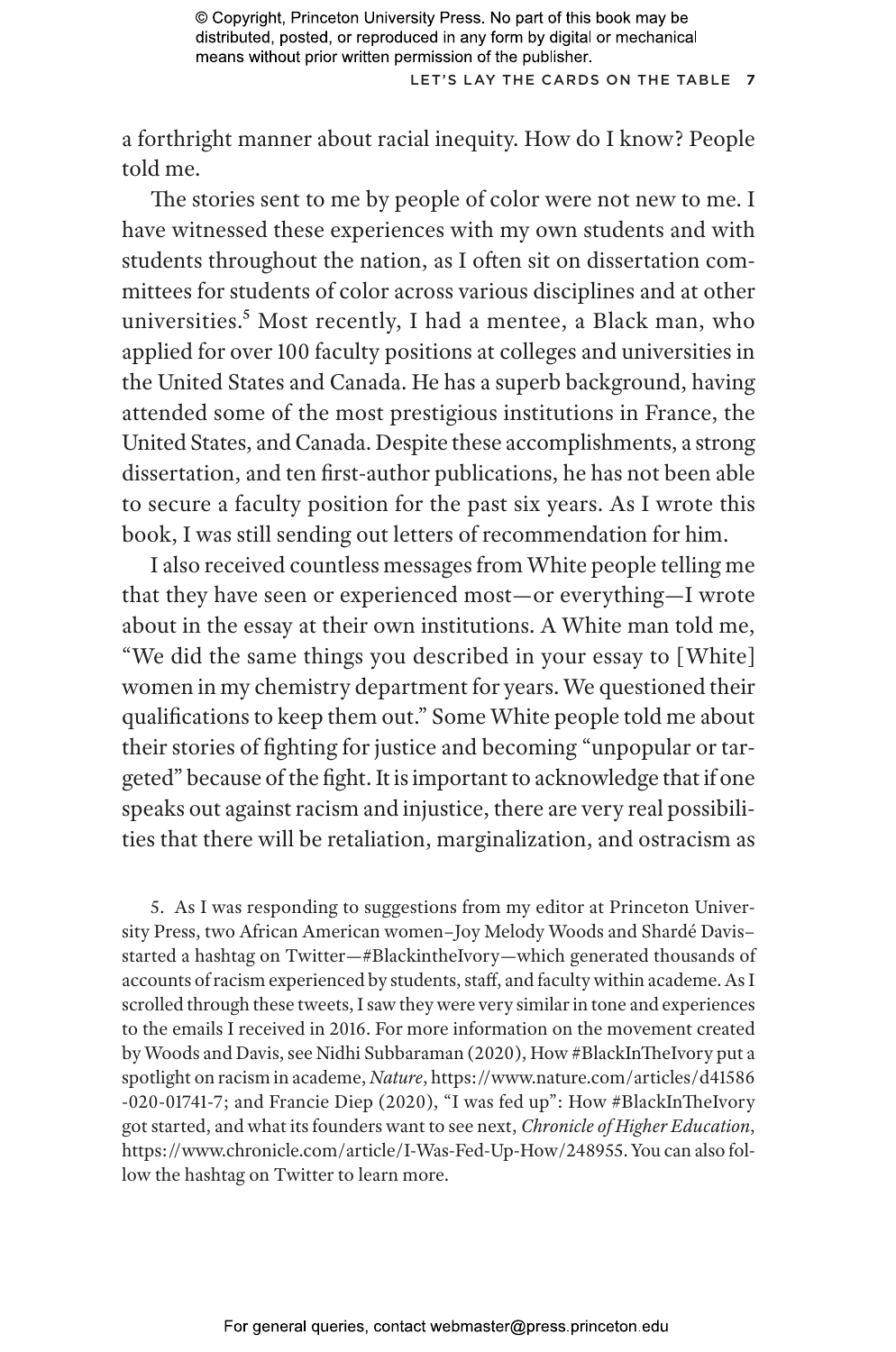Let's Lay the Cards on the Table  **7**

a forthright manner about racial inequity. How do I know? People told me.

The stories sent to me by people of color were not new to me. I have witnessed these experiences with my own students and with students throughout the nation, as I often sit on dissertation committees for students of color across various disciplines and at other universities.<sup>5</sup> Most recently, I had a mentee, a Black man, who applied for over 100 faculty positions at colleges and universities in the United States and Canada. He has a superb background, having attended some of the most prestigious institutions in France, the United States, and Canada. Despite these accomplishments, a strong dissertation, and ten first-author publications, he has not been able to secure a faculty position for the past six years. As I wrote this book, I was still sending out letters of recommendation for him.

I also received countless messages from White people telling me that they have seen or experienced most—or everything—I wrote about in the essay at their own institutions. A White man told me, "We did the same things you described in your essay to [White] women in my chemistry department for years. We questioned their qualifications to keep them out." Some White people told me about their stories of fighting for justice and becoming "unpopular or targeted" because of the fight. It is important to acknowledge that if one speaks out against racism and injustice, there are very real possibilities that there will be retaliation, marginalization, and ostracism as

5. As I was responding to suggestions from my editor at Princeton University Press, two African American women–Joy Melody Woods and Shardé Davis– started a hashtag on Twitter—#BlackintheIvory—which generated thousands of accounts of racism experienced by students, staff, and faculty within academe. As I scrolled through these tweets, I saw they were very similar in tone and experiences to the emails I received in 2016. For more information on the movement created by Woods and Davis, see Nidhi Subbaraman (2020), How #BlackInTheIvory put a spotlight on racism in academe, *Nature*, https://www.nature.com/articles/d41586 -020-01741-7; and Francie Diep (2020), "I was fed up": How #BlackInTheIvory got started, and what its founders want to see next, *Chronicle of Higher Education*, https://www.chronicle.com/article/I-Was-Fed-Up-How/248955. You can also follow the hashtag on Twitter to learn more.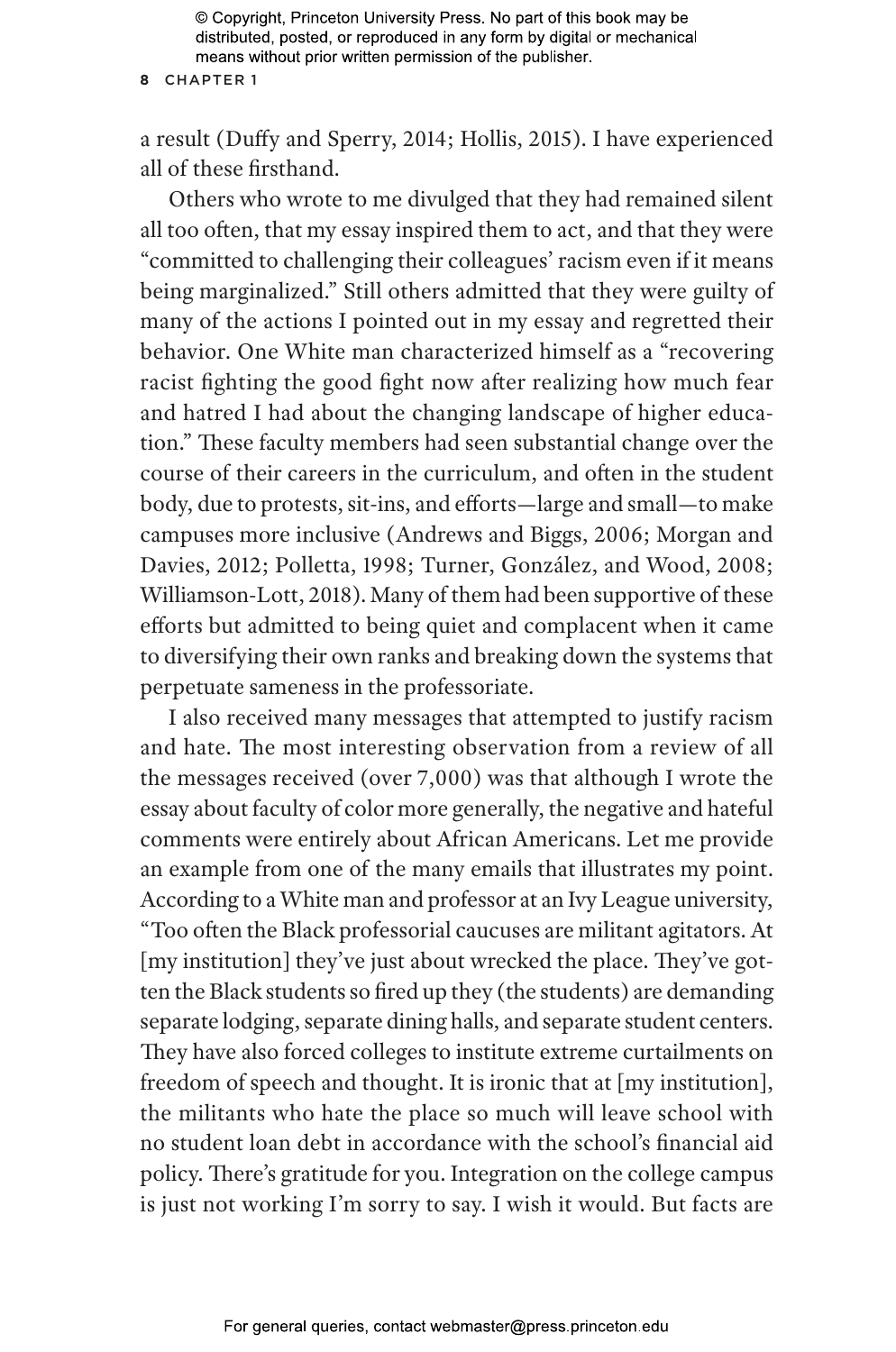**8** CHAPTER 1

a result (Duffy and Sperry, 2014; Hollis, 2015). I have experienced all of these firsthand.

Others who wrote to me divulged that they had remained silent all too often, that my essay inspired them to act, and that they were "committed to challenging their colleagues' racism even if it means being marginalized." Still others admitted that they were guilty of many of the actions I pointed out in my essay and regretted their behavior. One White man characterized himself as a "recovering racist fighting the good fight now after realizing how much fear and hatred I had about the changing landscape of higher education." These faculty members had seen substantial change over the course of their careers in the curriculum, and often in the student body, due to protests, sit-ins, and efforts—large and small—to make campuses more inclusive (Andrews and Biggs, 2006; Morgan and Davies, 2012; Polletta, 1998; Turner, González, and Wood, 2008; Williamson-Lott, 2018). Many of them had been supportive of these efforts but admitted to being quiet and complacent when it came to diversifying their own ranks and breaking down the systems that perpetuate sameness in the professoriate.

I also received many messages that attempted to justify racism and hate. The most interesting observation from a review of all the messages received (over 7,000) was that although I wrote the essay about faculty of color more generally, the negative and hateful comments were entirely about African Americans. Let me provide an example from one of the many emails that illustrates my point. According to a White man and professor at an Ivy League university, "Too often the Black professorial caucuses are militant agitators. At [my institution] they've just about wrecked the place. They've gotten the Black students so fired up they (the students) are demanding separate lodging, separate dining halls, and separate student centers. They have also forced colleges to institute extreme curtailments on freedom of speech and thought. It is ironic that at [my institution], the militants who hate the place so much will leave school with no student loan debt in accordance with the school's financial aid policy. There's gratitude for you. Integration on the college campus is just not working I'm sorry to say. I wish it would. But facts are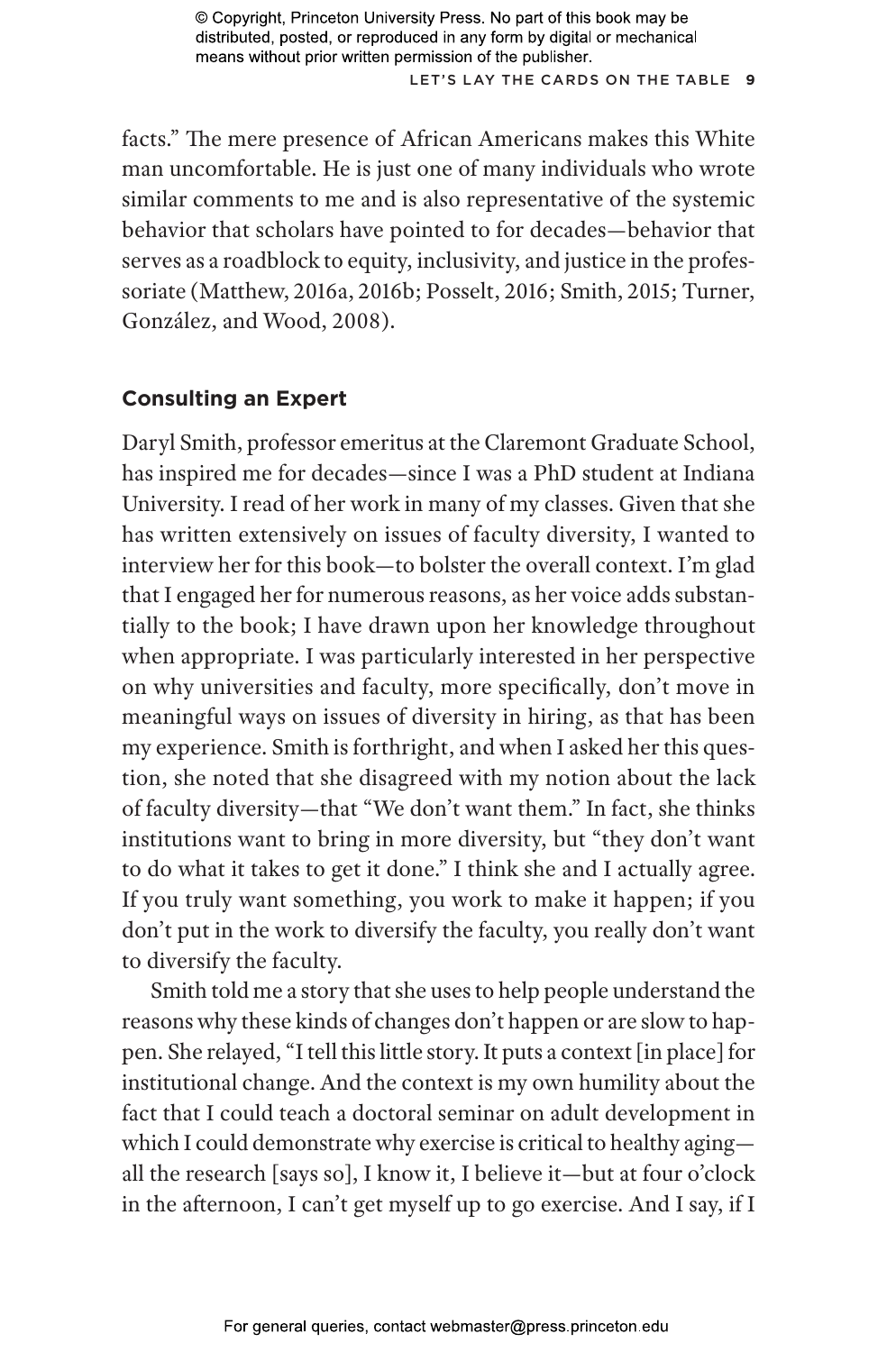facts." The mere presence of African Americans makes this White man uncomfortable. He is just one of many individuals who wrote similar comments to me and is also representative of the systemic behavior that scholars have pointed to for decades—behavior that serves as a roadblock to equity, inclusivity, and justice in the professoriate (Matthew, 2016a, 2016b; Posselt, 2016; Smith, 2015; Turner, González, and Wood, 2008).

## **Consulting an Expert**

Daryl Smith, professor emeritus at the Claremont Graduate School, has inspired me for decades—since I was a PhD student at Indiana University. I read of her work in many of my classes. Given that she has written extensively on issues of faculty diversity, I wanted to interview her for this book—to bolster the overall context. I'm glad that I engaged her for numerous reasons, as her voice adds substantially to the book; I have drawn upon her knowledge throughout when appropriate. I was particularly interested in her perspective on why universities and faculty, more specifically, don't move in meaningful ways on issues of diversity in hiring, as that has been my experience. Smith is forthright, and when I asked her this question, she noted that she disagreed with my notion about the lack of faculty diversity—that "We don't want them." In fact, she thinks institutions want to bring in more diversity, but "they don't want to do what it takes to get it done." I think she and I actually agree. If you truly want something, you work to make it happen; if you don't put in the work to diversify the faculty, you really don't want to diversify the faculty.

Smith told me a story that she uses to help people understand the reasons why these kinds of changes don't happen or are slow to happen. She relayed, "I tell this little story. It puts a context [in place] for institutional change. And the context is my own humility about the fact that I could teach a doctoral seminar on adult development in which I could demonstrate why exercise is critical to healthy aging all the research [says so], I know it, I believe it—but at four o'clock in the afternoon, I can't get myself up to go exercise. And I say, if I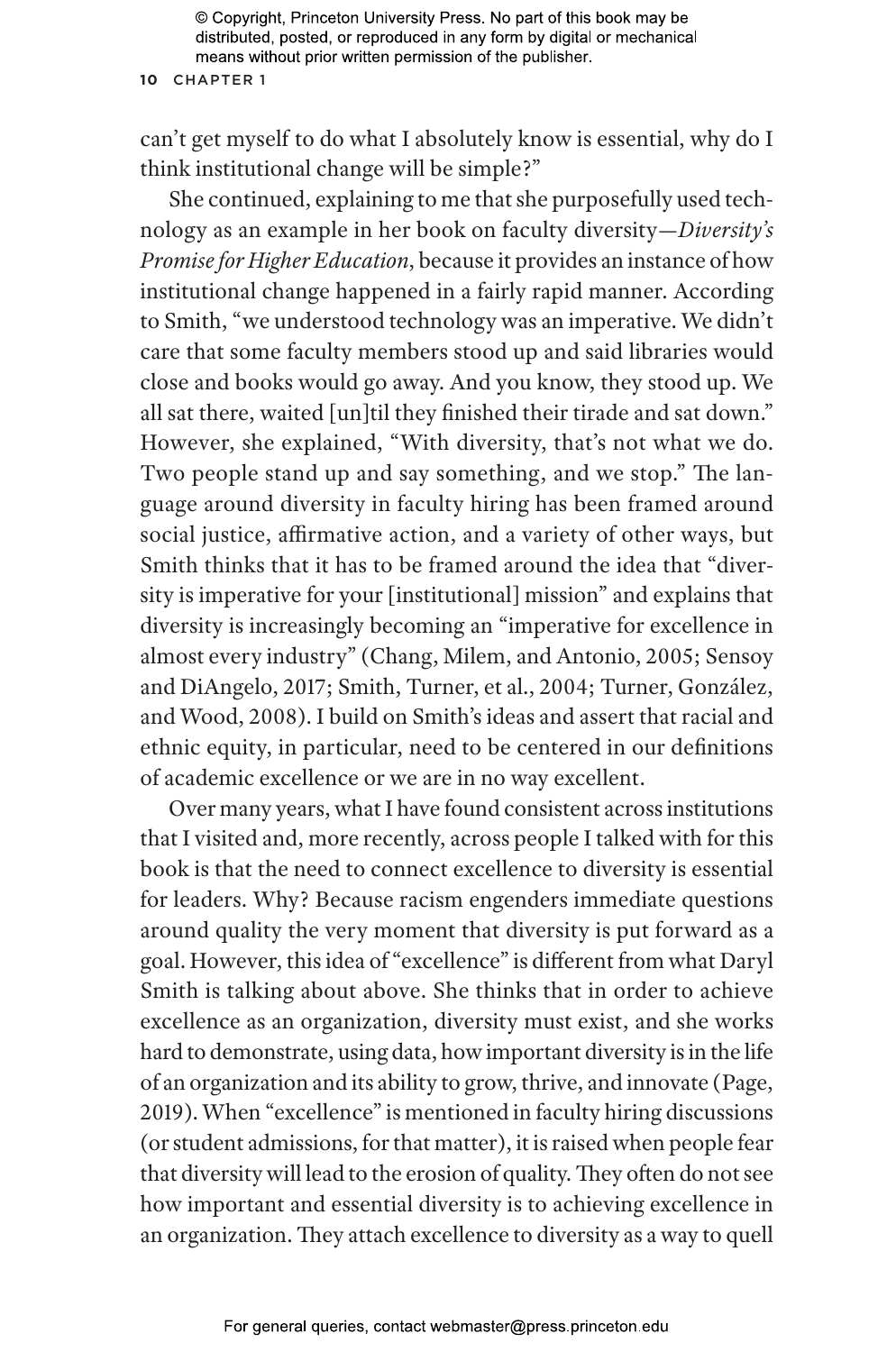#### **10** CHAPTER 1

can't get myself to do what I absolutely know is essential, why do I think institutional change will be simple?"

She continued, explaining to me that she purposefully used technology as an example in her book on faculty diversity—*Diversity's Promise for Higher Education*, because it provides an instance of how institutional change happened in a fairly rapid manner. According to Smith, "we understood technology was an imperative. We didn't care that some faculty members stood up and said libraries would close and books would go away. And you know, they stood up. We all sat there, waited [un]til they finished their tirade and sat down." However, she explained, "With diversity, that's not what we do. Two people stand up and say something, and we stop." The language around diversity in faculty hiring has been framed around social justice, affirmative action, and a variety of other ways, but Smith thinks that it has to be framed around the idea that "diversity is imperative for your [institutional] mission" and explains that diversity is increasingly becoming an "imperative for excellence in almost every industry" (Chang, Milem, and Antonio, 2005; Sensoy and DiAngelo, 2017; Smith, Turner, et al., 2004; Turner, González, and Wood, 2008). I build on Smith's ideas and assert that racial and ethnic equity, in particular, need to be centered in our definitions of academic excellence or we are in no way excellent.

Over many years, what I have found consistent across institutions that I visited and, more recently, across people I talked with for this book is that the need to connect excellence to diversity is essential for leaders. Why? Because racism engenders immediate questions around quality the very moment that diversity is put forward as a goal. However, this idea of "excellence" is different from what Daryl Smith is talking about above. She thinks that in order to achieve excellence as an organization, diversity must exist, and she works hard to demonstrate, using data, how important diversity is in the life of an organization and its ability to grow, thrive, and innovate (Page, 2019). When "excellence" is mentioned in faculty hiring discussions (or student admissions, for that matter), it is raised when people fear that diversity will lead to the erosion of quality. They often do not see how important and essential diversity is to achieving excellence in an organization. They attach excellence to diversity as a way to quell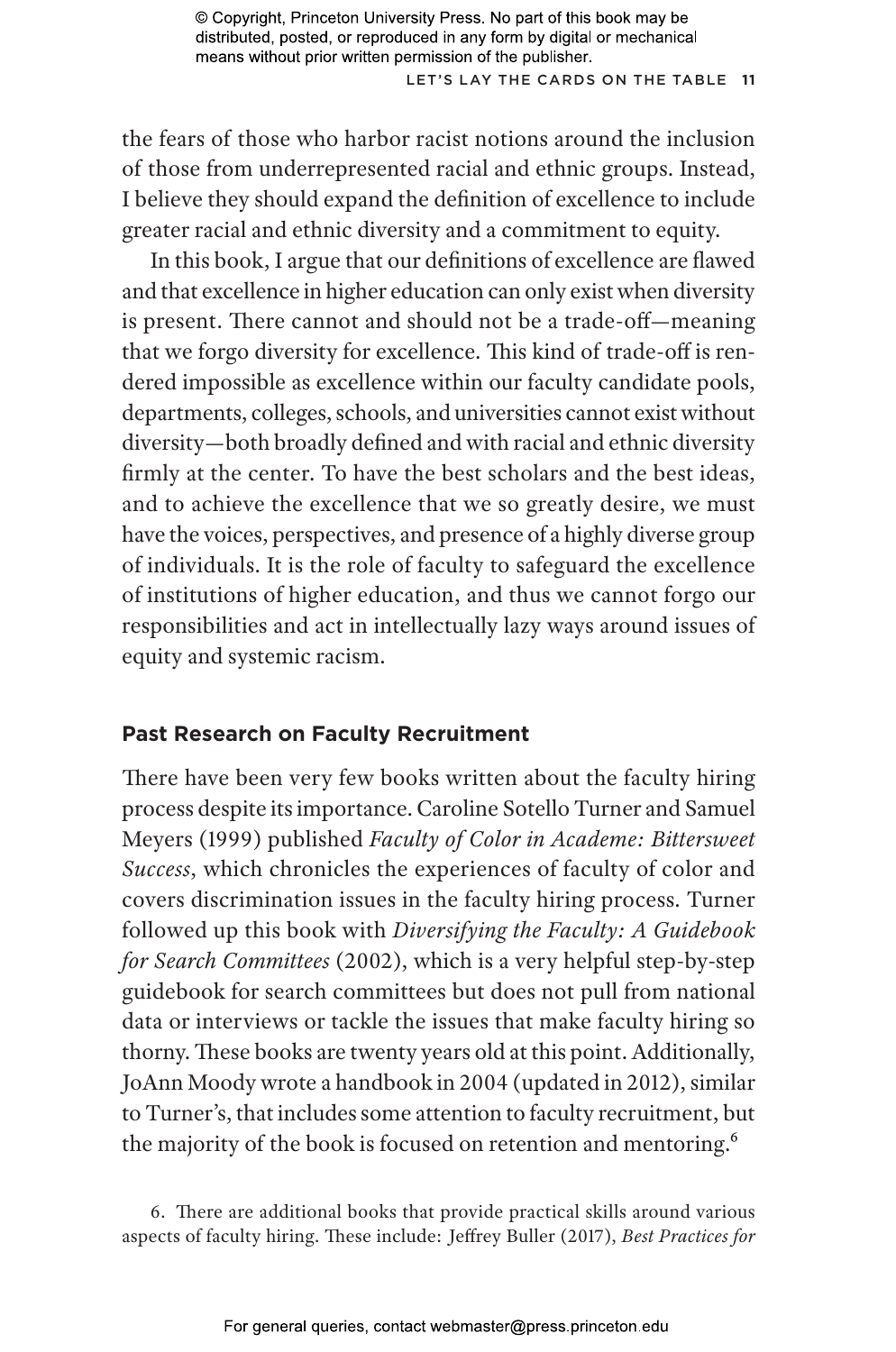Let's Lay the Cards on the Table  **11**

the fears of those who harbor racist notions around the inclusion of those from underrepresented racial and ethnic groups. Instead, I believe they should expand the definition of excellence to include greater racial and ethnic diversity and a commitment to equity.

In this book, I argue that our definitions of excellence are flawed and that excellence in higher education can only exist when diversity is present. There cannot and should not be a trade-off—meaning that we forgo diversity for excellence. This kind of trade-off is rendered impossible as excellence within our faculty candidate pools, departments, colleges, schools, and universities cannot exist without diversity—both broadly defined and with racial and ethnic diversity firmly at the center. To have the best scholars and the best ideas, and to achieve the excellence that we so greatly desire, we must have the voices, perspectives, and presence of a highly diverse group of individuals. It is the role of faculty to safeguard the excellence of institutions of higher education, and thus we cannot forgo our responsibilities and act in intellectually lazy ways around issues of equity and systemic racism.

## **Past Research on Faculty Recruitment**

There have been very few books written about the faculty hiring process despite its importance. Caroline Sotello Turner and Samuel Meyers (1999) published *Faculty of Color in Academe: Bittersweet Success*, which chronicles the experiences of faculty of color and covers discrimination issues in the faculty hiring process. Turner followed up this book with *Diversifying the Faculty: A Guidebook for Search Committees* (2002), which is a very helpful step-by-step guidebook for search committees but does not pull from national data or interviews or tackle the issues that make faculty hiring so thorny. These books are twenty years old at this point. Additionally, JoAnn Moody wrote a handbook in 2004 (updated in 2012), similar to Turner's, that includes some attention to faculty recruitment, but the majority of the book is focused on retention and mentoring.<sup>6</sup>

6. There are additional books that provide practical skills around various aspects of faculty hiring. These include: Jeffrey Buller (2017), *Best Practices for*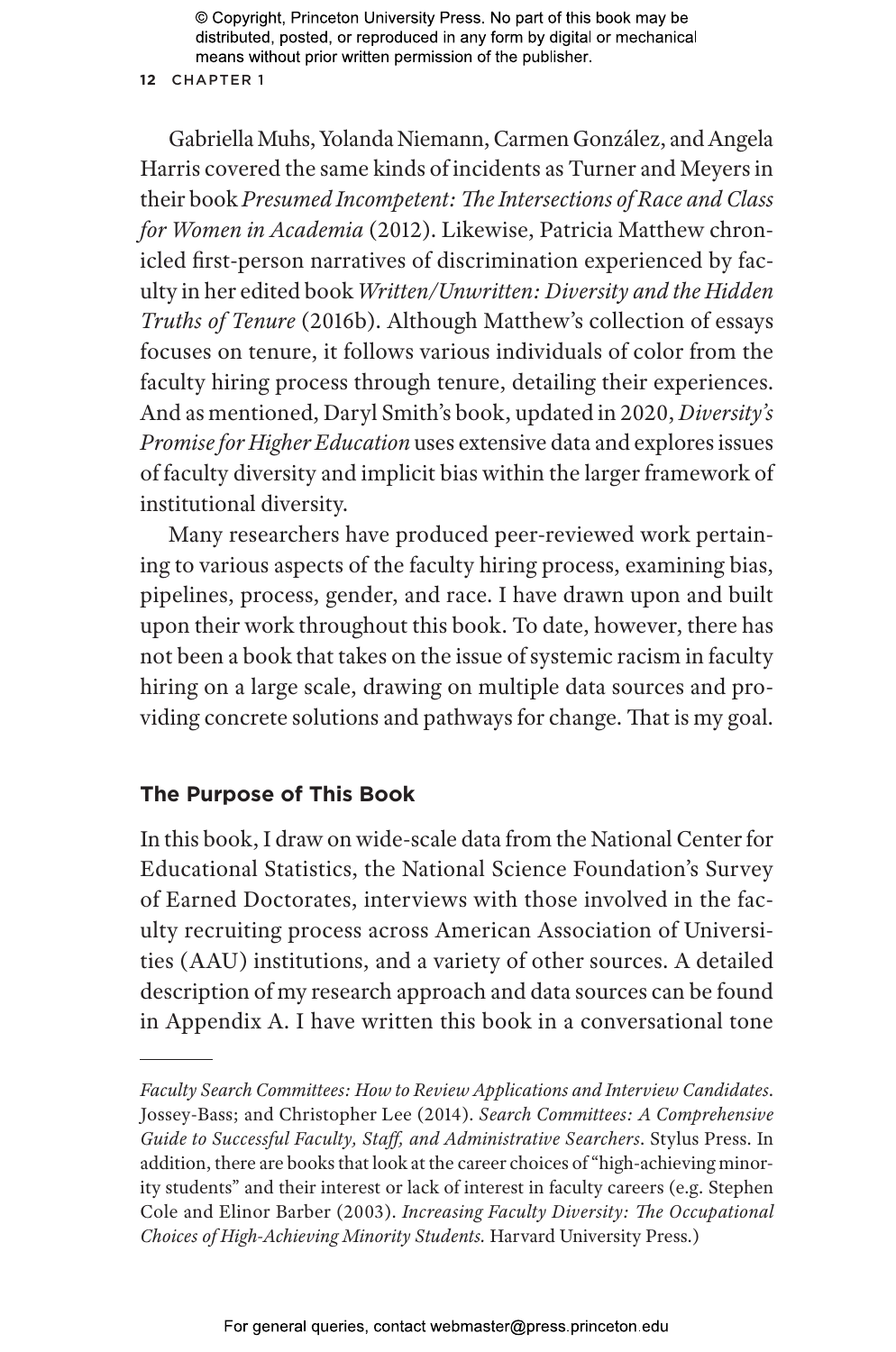#### **12** CHAPTER 1

Gabriella Muhs, Yolanda Niemann, Carmen González, and Angela Harris covered the same kinds of incidents as Turner and Meyers in their book *Presumed Incompetent: The Intersections of Race and Class for Women in Academia* (2012). Likewise, Patricia Matthew chronicled first-person narratives of discrimination experienced by faculty in her edited book *Written/Unwritten: Diversity and the Hidden Truths of Tenure* (2016b). Although Matthew's collection of essays focuses on tenure, it follows various individuals of color from the faculty hiring process through tenure, detailing their experiences. And as mentioned, Daryl Smith's book, updated in 2020, *Diversity's Promise for Higher Education* uses extensive data and explores issues of faculty diversity and implicit bias within the larger framework of institutional diversity.

Many researchers have produced peer-reviewed work pertaining to various aspects of the faculty hiring process, examining bias, pipelines, process, gender, and race. I have drawn upon and built upon their work throughout this book. To date, however, there has not been a book that takes on the issue of systemic racism in faculty hiring on a large scale, drawing on multiple data sources and providing concrete solutions and pathways for change. That is my goal.

## **The Purpose of This Book**

In this book, I draw on wide-scale data from the National Center for Educational Statistics, the National Science Foundation's Survey of Earned Doctorates, interviews with those involved in the faculty recruiting process across American Association of Universities (AAU) institutions, and a variety of other sources. A detailed description of my research approach and data sources can be found in Appendix A. I have written this book in a conversational tone

*Faculty Search Committees: How to Review Applications and Interview Candidates*. Jossey-Bass; and Christopher Lee (2014). *Search Committees: A Comprehensive Guide to Successful Faculty, Staff, and Administrative Searchers*. Stylus Press. In addition, there are books that look at the career choices of "high-achieving minority students" and their interest or lack of interest in faculty careers (e.g. Stephen Cole and Elinor Barber (2003). *Increasing Faculty Diversity: The Occupational Choices of High-Achieving Minority Students.* Harvard University Press.)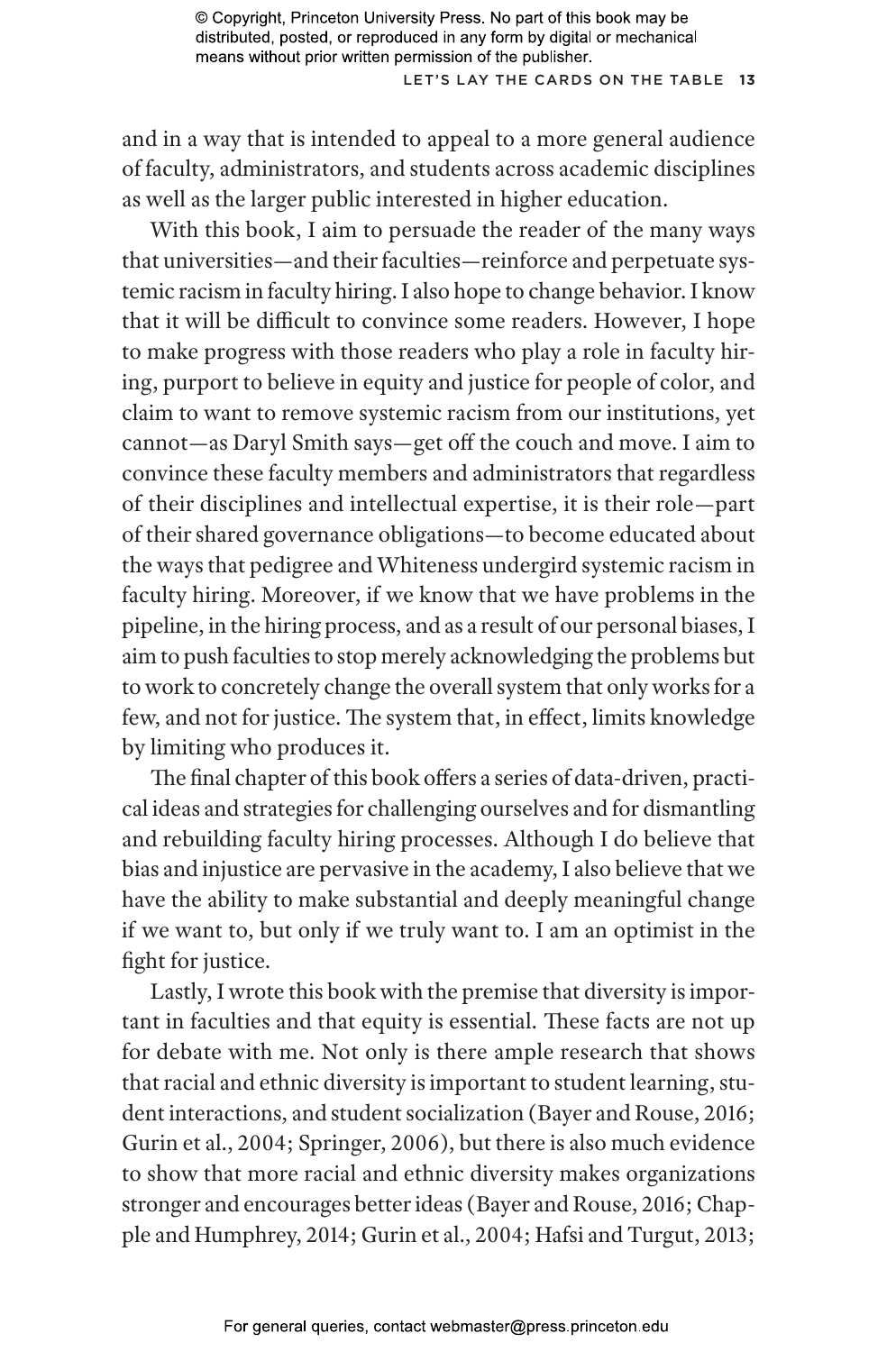Let's Lay the Cards on the Table  **13**

and in a way that is intended to appeal to a more general audience of faculty, administrators, and students across academic disciplines as well as the larger public interested in higher education.

With this book, I aim to persuade the reader of the many ways that universities—and their faculties—reinforce and perpetuate systemic racism in faculty hiring. I also hope to change behavior. I know that it will be difficult to convince some readers. However, I hope to make progress with those readers who play a role in faculty hiring, purport to believe in equity and justice for people of color, and claim to want to remove systemic racism from our institutions, yet cannot—as Daryl Smith says—get off the couch and move. I aim to convince these faculty members and administrators that regardless of their disciplines and intellectual expertise, it is their role—part of their shared governance obligations—to become educated about the ways that pedigree and Whiteness undergird systemic racism in faculty hiring. Moreover, if we know that we have problems in the pipeline, in the hiring process, and as a result of our personal biases, I aim to push faculties to stop merely acknowledging the problems but to work to concretely change the overall system that only works for a few, and not for justice. The system that, in effect, limits knowledge by limiting who produces it.

The final chapter of this book offers a series of data-driven, practical ideas and strategies for challenging ourselves and for dismantling and rebuilding faculty hiring processes. Although I do believe that bias and injustice are pervasive in the academy, I also believe that we have the ability to make substantial and deeply meaningful change if we want to, but only if we truly want to. I am an optimist in the fight for justice.

Lastly, I wrote this book with the premise that diversity is important in faculties and that equity is essential. These facts are not up for debate with me. Not only is there ample research that shows that racial and ethnic diversity is important to student learning, student interactions, and student socialization (Bayer and Rouse, 2016; Gurin et al., 2004; Springer, 2006), but there is also much evidence to show that more racial and ethnic diversity makes organizations stronger and encourages better ideas (Bayer and Rouse, 2016; Chapple and Humphrey, 2014; Gurin et al., 2004; Hafsi and Turgut, 2013;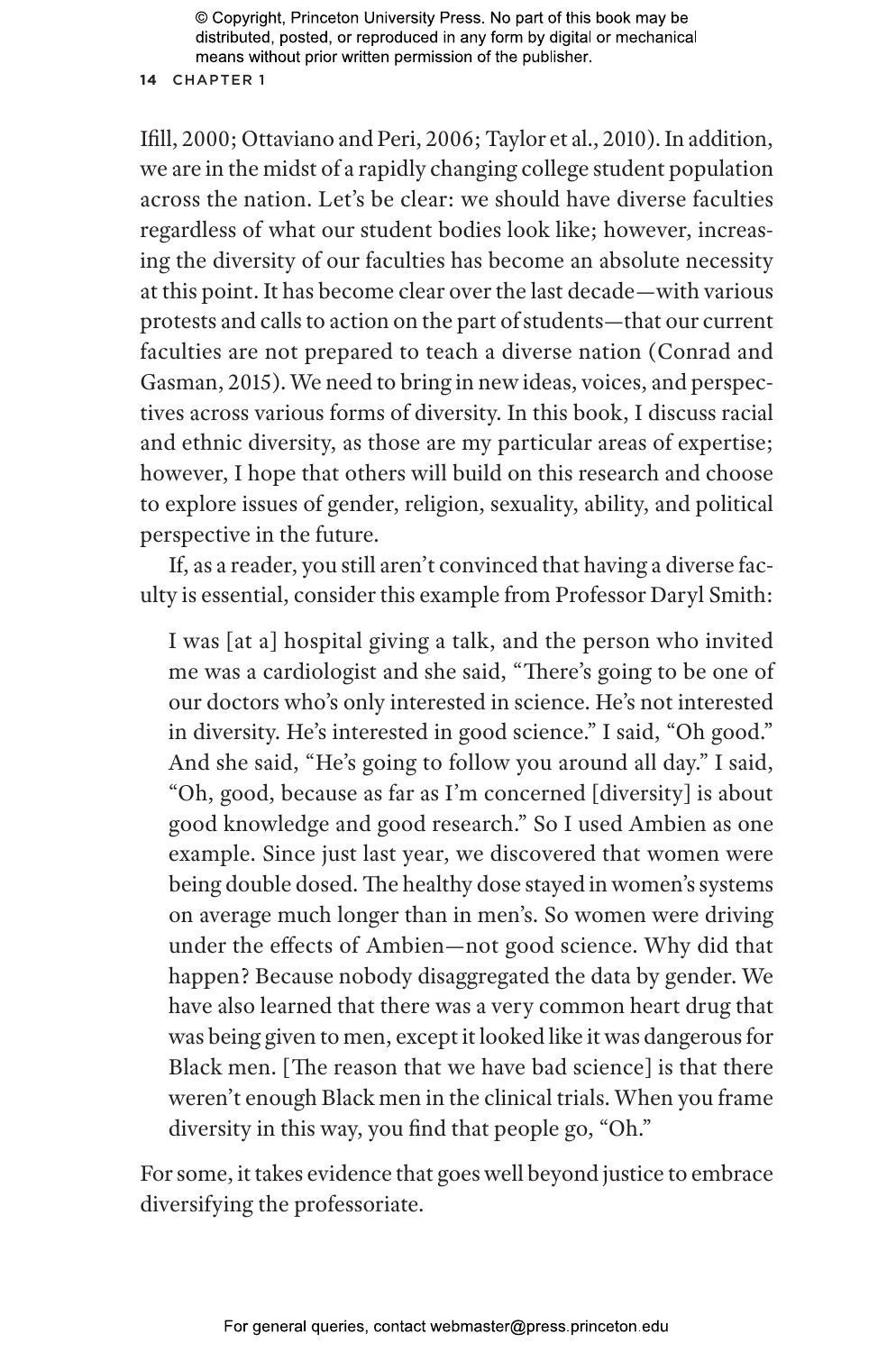#### **14** CHAPTER 1

Ifill, 2000; Ottaviano and Peri, 2006; Taylor et al., 2010). In addition, we are in the midst of a rapidly changing college student population across the nation. Let's be clear: we should have diverse faculties regardless of what our student bodies look like; however, increasing the diversity of our faculties has become an absolute necessity at this point. It has become clear over the last decade—with various protests and calls to action on the part of students—that our current faculties are not prepared to teach a diverse nation (Conrad and Gasman, 2015). We need to bring in new ideas, voices, and perspectives across various forms of diversity. In this book, I discuss racial and ethnic diversity, as those are my particular areas of expertise; however, I hope that others will build on this research and choose to explore issues of gender, religion, sexuality, ability, and political perspective in the future.

If, as a reader, you still aren't convinced that having a diverse faculty is essential, consider this example from Professor Daryl Smith:

I was [at a] hospital giving a talk, and the person who invited me was a cardiologist and she said, "There's going to be one of our doctors who's only interested in science. He's not interested in diversity. He's interested in good science." I said, "Oh good." And she said, "He's going to follow you around all day." I said, "Oh, good, because as far as I'm concerned [diversity] is about good knowledge and good research." So I used Ambien as one example. Since just last year, we discovered that women were being double dosed. The healthy dose stayed in women's systems on average much longer than in men's. So women were driving under the effects of Ambien—not good science. Why did that happen? Because nobody disaggregated the data by gender. We have also learned that there was a very common heart drug that was being given to men, except it looked like it was dangerous for Black men. [The reason that we have bad science] is that there weren't enough Black men in the clinical trials. When you frame diversity in this way, you find that people go, "Oh."

For some, it takes evidence that goes well beyond justice to embrace diversifying the professoriate.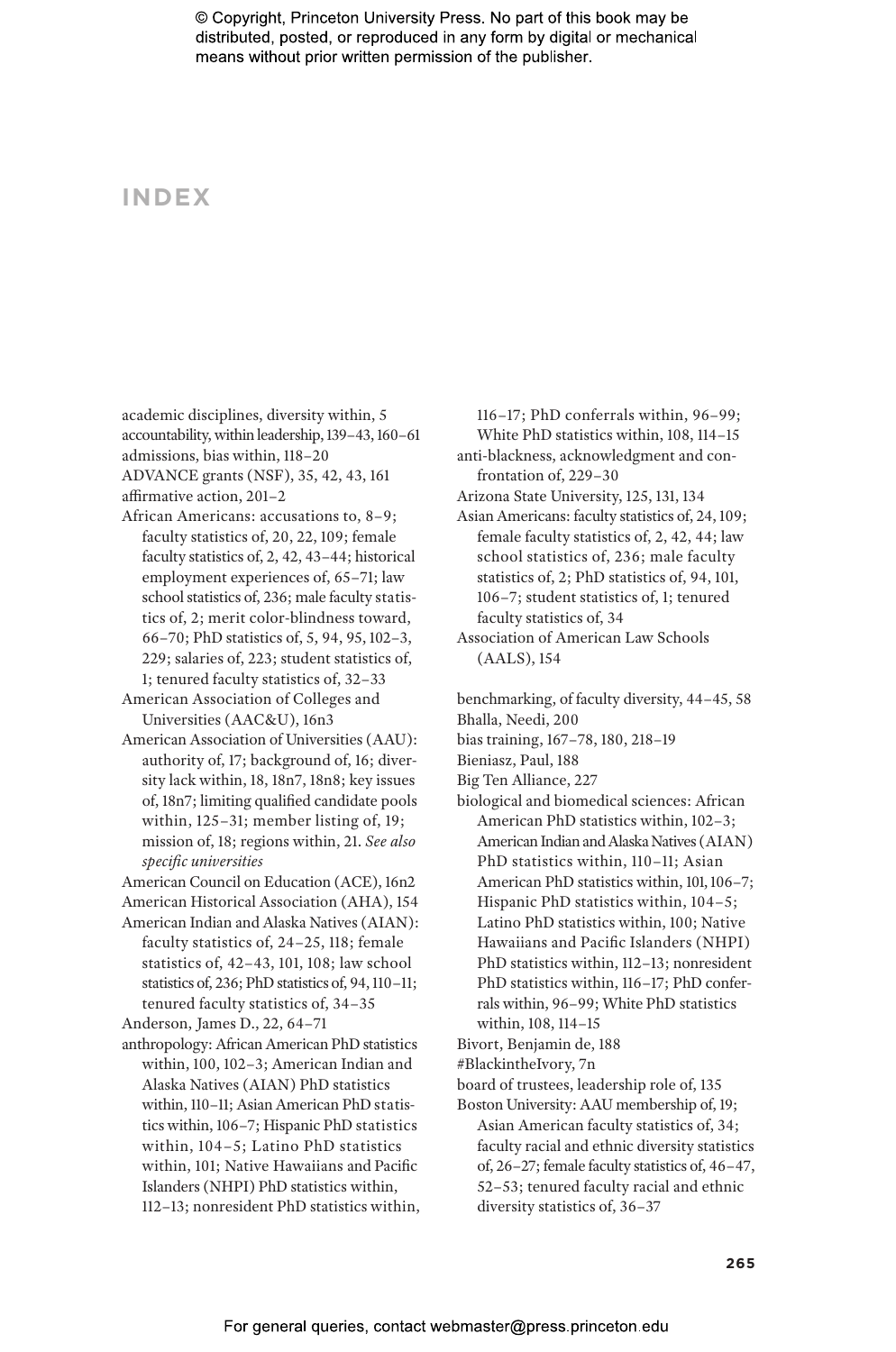## **INDEX**

academic disciplines, diversity within, 5 accountability, within leadership, 139–43, 160–61 admissions, bias within, 118–20 ADVANCE grants (NSF), 35, 42, 43, 161 affirmative action, 201–2

- African Americans: accusations to, 8–9; faculty statistics of, 20, 22, 109; female faculty statistics of, 2, 42, 43–44; historical employment experiences of, 65–71; law school statistics of, 236; male faculty statistics of, 2; merit color-blindness toward, 66–70; PhD statistics of, 5, 94, 95, 102–3, 229; salaries of, 223; student statistics of, 1; tenured faculty statistics of, 32–33
- American Association of Colleges and Universities (AAC&U), 16n3
- American Association of Universities (AAU): authority of, 17; background of, 16; diversity lack within, 18, 18n7, 18n8; key issues of, 18n7; limiting qualified candidate pools within, 125–31; member listing of, 19; mission of, 18; regions within, 21. *See also specific universities*
- American Council on Education (ACE), 16n2
- American Historical Association (AHA), 154 American Indian and Alaska Natives (AIAN): faculty statistics of, 24–25, 118; female statistics of, 42–43, 101, 108; law school statistics of, 236; PhD statistics of, 94, 110–11;
- tenured faculty statistics of, 34–35 Anderson, James D., 22, 64–71
- anthropology: African American PhD statistics within, 100, 102–3; American Indian and Alaska Natives (AIAN) PhD statistics within, 110–11; Asian American PhD statistics within, 106–7; Hispanic PhD statistics within, 104–5; Latino PhD statistics within, 101; Native Hawaiians and Pacific Islanders (NHPI) PhD statistics within, 112–13; nonresident PhD statistics within,

116–17; PhD conferrals within, 96–99; White PhD statistics within, 108, 114–15

anti-blackness, acknowledgment and confrontation of, 229–30

- Arizona State University, 125, 131, 134
- Asian Americans: faculty statistics of, 24, 109; female faculty statistics of, 2, 42, 44; law school statistics of, 236; male faculty statistics of, 2; PhD statistics of, 94, 101, 106–7; student statistics of, 1; tenured faculty statistics of, 34
- Association of American Law Schools (AALS), 154
- benchmarking, of faculty diversity, 44–45, 58 Bhalla, Needi, 200
- bias training, 167–78, 180, 218–19
- Bieniasz, Paul, 188
- Big Ten Alliance, 227
- biological and biomedical sciences: African American PhD statistics within, 102–3; American Indian and Alaska Natives (AIAN) PhD statistics within, 110–11; Asian American PhD statistics within, 101, 106–7; Hispanic PhD statistics within, 104–5; Latino PhD statistics within, 100; Native Hawaiians and Pacific Islanders (NHPI) PhD statistics within, 112–13; nonresident PhD statistics within, 116–17; PhD conferrals within, 96–99; White PhD statistics within, 108, 114–15
- Bivort, Benjamin de, 188
- #BlackintheIvory, 7n
- board of trustees, leadership role of, 135 Boston University: AAU membership of, 19;
- Asian American faculty statistics of, 34; faculty racial and ethnic diversity statistics of, 26–27; female faculty statistics of, 46–47, 52–53; tenured faculty racial and ethnic diversity statistics of, 36–37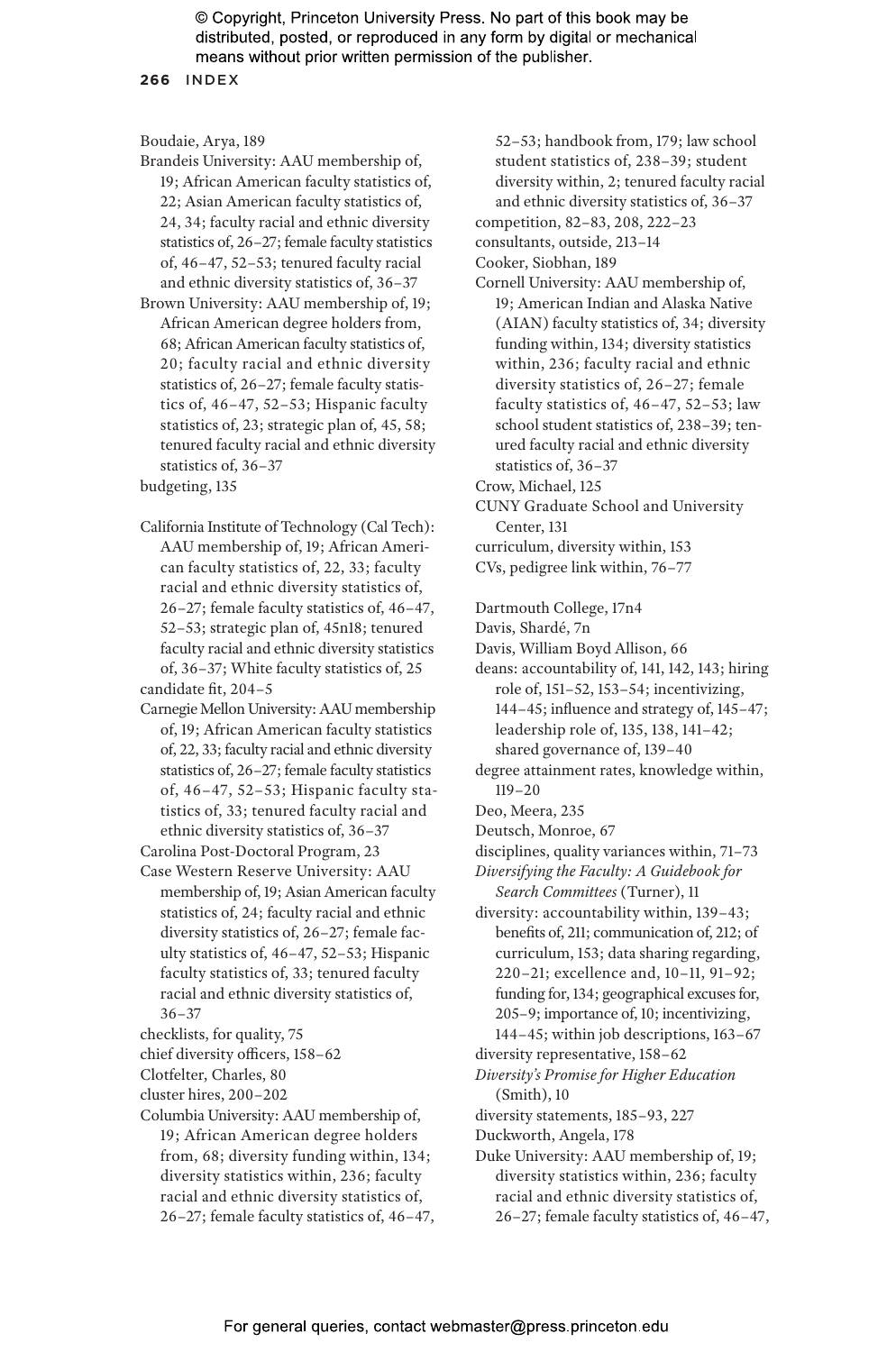**266** INDEX

#### Boudaie, Arya, 189

- Brandeis University: AAU membership of, 19; African American faculty statistics of, 22; Asian American faculty statistics of, 24, 34; faculty racial and ethnic diversity statistics of, 26–27; female faculty statistics of, 46–47, 52–53; tenured faculty racial and ethnic diversity statistics of, 36–37
- Brown University: AAU membership of, 19; African American degree holders from, 68; African American faculty statistics of, 20; faculty racial and ethnic diversity statistics of, 26–27; female faculty statistics of, 46–47, 52–53; Hispanic faculty statistics of, 23; strategic plan of, 45, 58; tenured faculty racial and ethnic diversity statistics of, 36–37

budgeting, 135

California Institute of Technology (Cal Tech): AAU membership of, 19; African American faculty statistics of, 22, 33; faculty racial and ethnic diversity statistics of, 26–27; female faculty statistics of, 46–47, 52–53; strategic plan of, 45n18; tenured faculty racial and ethnic diversity statistics of, 36–37; White faculty statistics of, 25 candidate fit, 204–5

- Carnegie Mellon University: AAU membership of, 19; African American faculty statistics of, 22, 33; faculty racial and ethnic diversity statistics of, 26–27; female faculty statistics of, 46–47, 52–53; Hispanic faculty statistics of, 33; tenured faculty racial and ethnic diversity statistics of, 36–37
- Carolina Post-Doctoral Program, 23

Case Western Reserve University: AAU membership of, 19; Asian American faculty statistics of, 24; faculty racial and ethnic diversity statistics of, 26–27; female faculty statistics of, 46–47, 52–53; Hispanic faculty statistics of, 33; tenured faculty racial and ethnic diversity statistics of, 36–37

checklists, for quality, 75

- chief diversity officers, 158–62
- Clotfelter, Charles, 80
- cluster hires, 200–202
- Columbia University: AAU membership of, 19; African American degree holders from, 68; diversity funding within, 134; diversity statistics within, 236; faculty racial and ethnic diversity statistics of, 26–27; female faculty statistics of, 46–47,

52–53; handbook from, 179; law school student statistics of, 238–39; student diversity within, 2; tenured faculty racial and ethnic diversity statistics of, 36–37 competition, 82–83, 208, 222–23

consultants, outside, 213–14

Cooker, Siobhan, 189

Cornell University: AAU membership of, 19; American Indian and Alaska Native (AIAN) faculty statistics of, 34; diversity funding within, 134; diversity statistics within, 236; faculty racial and ethnic diversity statistics of, 26–27; female faculty statistics of, 46–47, 52–53; law school student statistics of, 238–39; tenured faculty racial and ethnic diversity statistics of, 36–37

Crow, Michael, 125

- CUNY Graduate School and University Center, 131
- curriculum, diversity within, 153 CVs, pedigree link within, 76–77

Dartmouth College, 17n4

- Davis, Shardé, 7n
- Davis, William Boyd Allison, 66
- deans: accountability of, 141, 142, 143; hiring role of, 151–52, 153–54; incentivizing, 144–45; influence and strategy of, 145–47; leadership role of, 135, 138, 141–42; shared governance of, 139–40

degree attainment rates, knowledge within, 119–20

Deo, Meera, 235

- Deutsch, Monroe, 67
- disciplines, quality variances within, 71–73

*Diversifying the Faculty: A Guidebook for Search Committees* (Turner), 11

- diversity: accountability within, 139–43; benefits of, 211; communication of, 212; of curriculum, 153; data sharing regarding, 220–21; excellence and, 10–11, 91–92; funding for, 134; geographical excuses for, 205–9; importance of, 10; incentivizing, 144–45; within job descriptions, 163–67
- diversity representative, 158–62
- *Diversity's Promise for Higher Education* (Smith), 10
- diversity statements, 185–93, 227
- Duckworth, Angela, 178
- Duke University: AAU membership of, 19; diversity statistics within, 236; faculty racial and ethnic diversity statistics of, 26–27; female faculty statistics of, 46–47,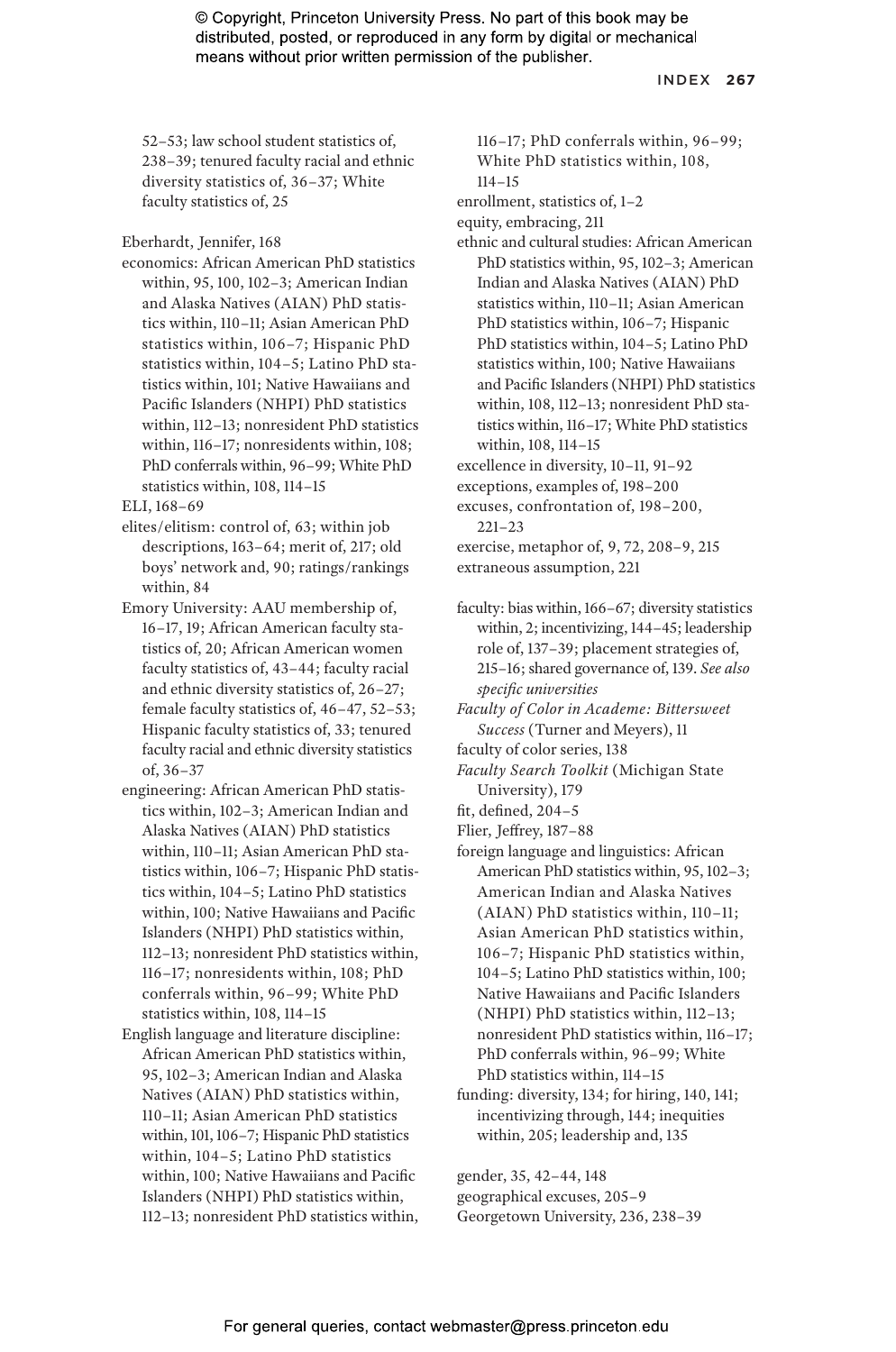#### INDEX **267**

52–53; law school student statistics of, 238–39; tenured faculty racial and ethnic diversity statistics of, 36–37; White faculty statistics of, 25

Eberhardt, Jennifer, 168

economics: African American PhD statistics within, 95, 100, 102–3; American Indian and Alaska Natives (AIAN) PhD statistics within, 110–11; Asian American PhD statistics within, 106–7; Hispanic PhD statistics within, 104–5; Latino PhD statistics within, 101; Native Hawaiians and Pacific Islanders (NHPI) PhD statistics within, 112–13; nonresident PhD statistics within, 116–17; nonresidents within, 108; PhD conferrals within, 96–99; White PhD statistics within, 108, 114–15

ELI, 168–69

- elites/elitism: control of, 63; within job descriptions, 163–64; merit of, 217; old boys' network and, 90; ratings/rankings within, 84
- Emory University: AAU membership of, 16–17, 19; African American faculty statistics of, 20; African American women faculty statistics of, 43–44; faculty racial and ethnic diversity statistics of, 26–27; female faculty statistics of, 46–47, 52–53; Hispanic faculty statistics of, 33; tenured faculty racial and ethnic diversity statistics of, 36–37
- engineering: African American PhD statistics within, 102–3; American Indian and Alaska Natives (AIAN) PhD statistics within, 110–11; Asian American PhD statistics within, 106–7; Hispanic PhD statistics within, 104–5; Latino PhD statistics within, 100; Native Hawaiians and Pacific Islanders (NHPI) PhD statistics within, 112–13; nonresident PhD statistics within, 116–17; nonresidents within, 108; PhD conferrals within, 96–99; White PhD statistics within, 108, 114–15
- English language and literature discipline: African American PhD statistics within, 95, 102–3; American Indian and Alaska Natives (AIAN) PhD statistics within, 110–11; Asian American PhD statistics within, 101, 106–7; Hispanic PhD statistics within, 104–5; Latino PhD statistics within, 100; Native Hawaiians and Pacific Islanders (NHPI) PhD statistics within, 112–13; nonresident PhD statistics within,

116–17; PhD conferrals within, 96–99; White PhD statistics within, 108, 114–15 enrollment, statistics of, 1–2

equity, embracing, 211

- ethnic and cultural studies: African American PhD statistics within, 95, 102–3; American Indian and Alaska Natives (AIAN) PhD statistics within, 110–11; Asian American PhD statistics within, 106–7; Hispanic PhD statistics within, 104–5; Latino PhD statistics within, 100; Native Hawaiians and Pacific Islanders (NHPI) PhD statistics within, 108, 112–13; nonresident PhD statistics within, 116–17; White PhD statistics within, 108, 114–15
- excellence in diversity, 10–11, 91–92
- exceptions, examples of, 198–200
- excuses, confrontation of, 198–200, 221–23
- exercise, metaphor of, 9, 72, 208–9, 215 extraneous assumption, 221
- faculty: bias within, 166–67; diversity statistics within, 2; incentivizing, 144–45; leadership role of, 137–39; placement strategies of, 215–16; shared governance of, 139. *See also specific universities*

*Faculty of Color in Academe: Bittersweet Success* (Turner and Meyers), 11

faculty of color series, 138

*Faculty Search Toolkit* (Michigan State University), 179

fit, defined, 204–5

- Flier, Jeffrey, 187–88
- foreign language and linguistics: African American PhD statistics within, 95, 102–3; American Indian and Alaska Natives (AIAN) PhD statistics within, 110–11; Asian American PhD statistics within, 106–7; Hispanic PhD statistics within, 104–5; Latino PhD statistics within, 100; Native Hawaiians and Pacific Islanders (NHPI) PhD statistics within, 112–13; nonresident PhD statistics within, 116–17; PhD conferrals within, 96–99; White PhD statistics within, 114–15
- funding: diversity, 134; for hiring, 140, 141; incentivizing through, 144; inequities within, 205; leadership and, 135

gender, 35, 42–44, 148

geographical excuses, 205–9

Georgetown University, 236, 238–39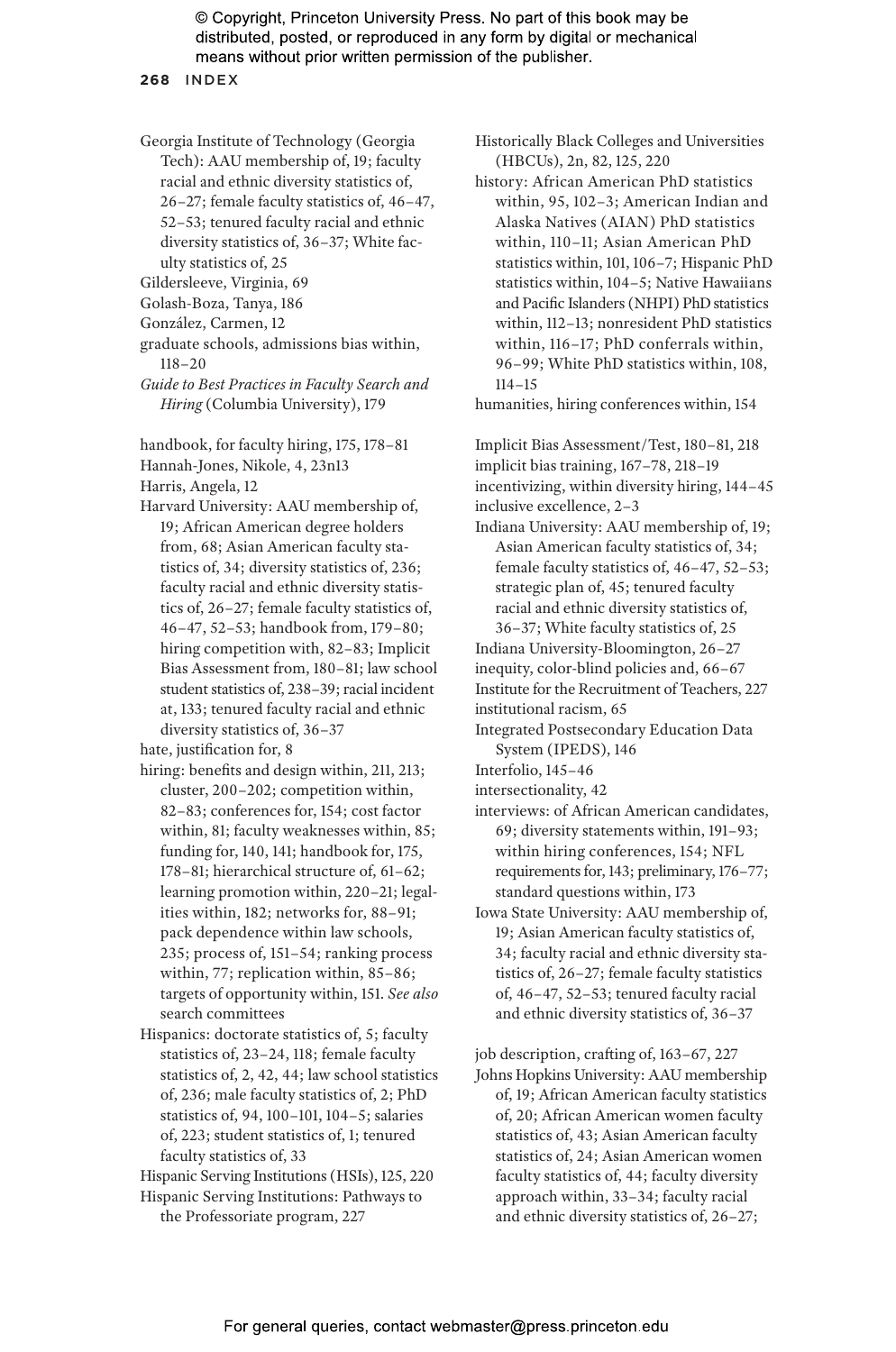**268** INDEX

Georgia Institute of Technology (Georgia Tech): AAU membership of, 19; faculty racial and ethnic diversity statistics of, 26–27; female faculty statistics of, 46–47, 52–53; tenured faculty racial and ethnic diversity statistics of, 36–37; White faculty statistics of, 25

Gildersleeve, Virginia, 69

- Golash-Boza, Tanya, 186
- González, Carmen, 12
- graduate schools, admissions bias within, 118–20
- *Guide to Best Practices in Faculty Search and Hiring* (Columbia University), 179
- handbook, for faculty hiring, 175, 178–81

Hannah-Jones, Nikole, 4, 23n13

- Harris, Angela, 12
- Harvard University: AAU membership of, 19; African American degree holders from, 68; Asian American faculty statistics of, 34; diversity statistics of, 236; faculty racial and ethnic diversity statistics of, 26–27; female faculty statistics of, 46–47, 52–53; handbook from, 179–80; hiring competition with, 82–83; Implicit Bias Assessment from, 180–81; law school student statistics of, 238–39; racial incident at, 133; tenured faculty racial and ethnic diversity statistics of, 36–37

hate, justification for, 8

- hiring: benefits and design within, 211, 213; cluster, 200–202; competition within, 82–83; conferences for, 154; cost factor within, 81; faculty weaknesses within, 85; funding for, 140, 141; handbook for, 175, 178–81; hierarchical structure of, 61–62; learning promotion within, 220–21; legalities within, 182; networks for, 88–91; pack dependence within law schools, 235; process of, 151–54; ranking process within, 77; replication within, 85–86; targets of opportunity within, 151. *See also* search committees
- Hispanics: doctorate statistics of, 5; faculty statistics of, 23–24, 118; female faculty statistics of, 2, 42, 44; law school statistics of, 236; male faculty statistics of, 2; PhD statistics of, 94, 100–101, 104–5; salaries of, 223; student statistics of, 1; tenured faculty statistics of, 33

Hispanic Serving Institutions (HSIs), 125, 220 Hispanic Serving Institutions: Pathways to the Professoriate program, 227

Historically Black Colleges and Universities (HBCUs), 2n, 82, 125, 220

history: African American PhD statistics within, 95, 102–3; American Indian and Alaska Natives (AIAN) PhD statistics within, 110–11; Asian American PhD statistics within, 101, 106–7; Hispanic PhD statistics within, 104–5; Native Hawaiians and Pacific Islanders (NHPI) PhD statistics within, 112–13; nonresident PhD statistics within, 116–17; PhD conferrals within, 96–99; White PhD statistics within, 108, 114–15

humanities, hiring conferences within, 154

Implicit Bias Assessment/Test, 180–81, 218 implicit bias training, 167–78, 218–19 incentivizing, within diversity hiring, 144–45 inclusive excellence, 2–3 Indiana University: AAU membership of, 19; Asian American faculty statistics of, 34; female faculty statistics of, 46–47, 52–53; strategic plan of, 45; tenured faculty

racial and ethnic diversity statistics of, 36–37; White faculty statistics of, 25

Indiana University-Bloomington, 26–27 inequity, color-blind policies and, 66–67 Institute for the Recruitment of Teachers, 227

institutional racism, 65

Integrated Postsecondary Education Data System (IPEDS), 146

Interfolio, 145–46

- intersectionality, 42
- interviews: of African American candidates, 69; diversity statements within, 191–93; within hiring conferences, 154; NFL requirements for, 143; preliminary, 176–77; standard questions within, 173
- Iowa State University: AAU membership of, 19; Asian American faculty statistics of, 34; faculty racial and ethnic diversity statistics of, 26–27; female faculty statistics of, 46–47, 52–53; tenured faculty racial and ethnic diversity statistics of, 36–37

job description, crafting of, 163–67, 227

Johns Hopkins University: AAU membership of, 19; African American faculty statistics of, 20; African American women faculty statistics of, 43; Asian American faculty statistics of, 24; Asian American women faculty statistics of, 44; faculty diversity approach within, 33–34; faculty racial and ethnic diversity statistics of, 26–27;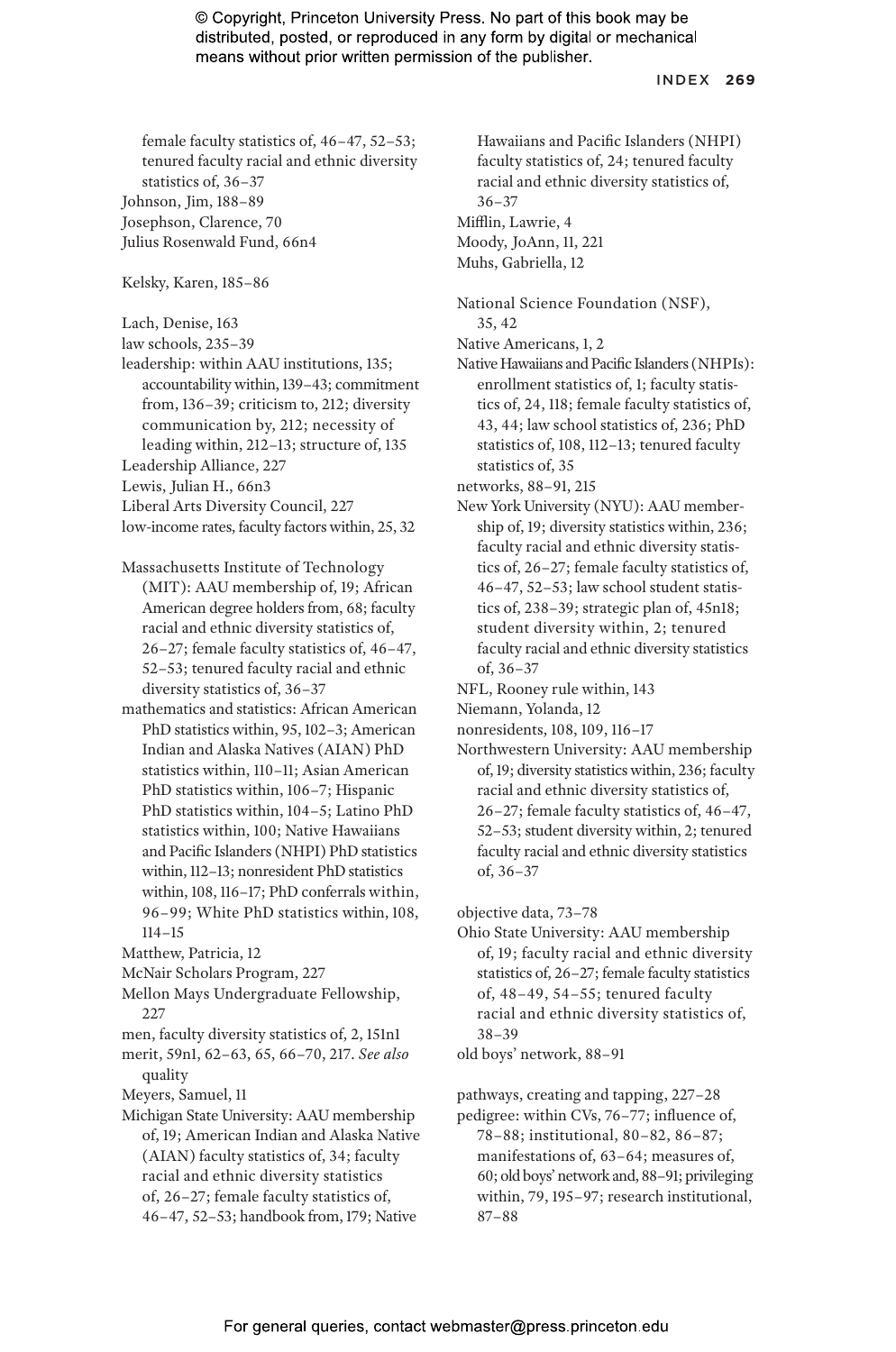#### INDEX **269**

female faculty statistics of, 46–47, 52–53; tenured faculty racial and ethnic diversity statistics of, 36–37 Johnson, Jim, 188–89 Josephson, Clarence, 70 Julius Rosenwald Fund, 66n4

Kelsky, Karen, 185–86

Lach, Denise, 163

- law schools, 235–39
- leadership: within AAU institutions, 135; accountability within, 139–43; commitment from, 136–39; criticism to, 212; diversity communication by, 212; necessity of leading within, 212–13; structure of, 135 Leadership Alliance, 227
- Lewis, Julian H., 66n3
- Liberal Arts Diversity Council, 227
- low-income rates, faculty factors within, 25, 32
- Massachusetts Institute of Technology (MIT): AAU membership of, 19; African American degree holders from, 68; faculty racial and ethnic diversity statistics of, 26–27; female faculty statistics of, 46–47, 52–53; tenured faculty racial and ethnic diversity statistics of, 36–37
- mathematics and statistics: African American PhD statistics within, 95, 102–3; American Indian and Alaska Natives (AIAN) PhD statistics within, 110–11; Asian American PhD statistics within, 106–7; Hispanic PhD statistics within, 104–5; Latino PhD statistics within, 100; Native Hawaiians and Pacific Islanders (NHPI) PhD statistics within, 112–13; nonresident PhD statistics within, 108, 116–17; PhD conferrals within, 96–99; White PhD statistics within, 108, 114–15
- Matthew, Patricia, 12
- McNair Scholars Program, 227
- Mellon Mays Undergraduate Fellowship, 227
- men, faculty diversity statistics of, 2, 151n1
- merit, 59n1, 62–63, 65, 66–70, 217. *See also* quality
- Meyers, Samuel, 11
- Michigan State University: AAU membership of, 19; American Indian and Alaska Native (AIAN) faculty statistics of, 34; faculty racial and ethnic diversity statistics of, 26–27; female faculty statistics of, 46–47, 52–53; handbook from, 179; Native
- Hawaiians and Pacific Islanders (NHPI) faculty statistics of, 24; tenured faculty racial and ethnic diversity statistics of, 36–37 Mifflin, Lawrie, 4
- Moody, JoAnn, 11, 221
- Muhs, Gabriella, 12
- National Science Foundation (NSF), 35, 42
- Native Americans, 1, 2
- Native Hawaiians and Pacific Islanders (NHPIs): enrollment statistics of, 1; faculty statistics of, 24, 118; female faculty statistics of, 43, 44; law school statistics of, 236; PhD statistics of, 108, 112–13; tenured faculty statistics of, 35
- networks, 88–91, 215
- New York University (NYU): AAU membership of, 19; diversity statistics within, 236; faculty racial and ethnic diversity statistics of, 26–27; female faculty statistics of, 46–47, 52–53; law school student statistics of, 238–39; strategic plan of, 45n18; student diversity within, 2; tenured faculty racial and ethnic diversity statistics of, 36–37
- NFL, Rooney rule within, 143
- Niemann, Yolanda, 12
- nonresidents, 108, 109, 116–17
- Northwestern University: AAU membership of, 19; diversity statistics within, 236; faculty racial and ethnic diversity statistics of, 26–27; female faculty statistics of, 46–47, 52–53; student diversity within, 2; tenured faculty racial and ethnic diversity statistics of, 36–37

objective data, 73–78

- Ohio State University: AAU membership of, 19; faculty racial and ethnic diversity statistics of, 26–27; female faculty statistics of, 48–49, 54–55; tenured faculty racial and ethnic diversity statistics of, 38–39
- old boys' network, 88–91

pathways, creating and tapping, 227–28 pedigree: within CVs, 76–77; influence of, 78–88; institutional, 80–82, 86–87; manifestations of, 63–64; measures of, 60; old boys' network and, 88–91; privileging within, 79, 195–97; research institutional, 87–88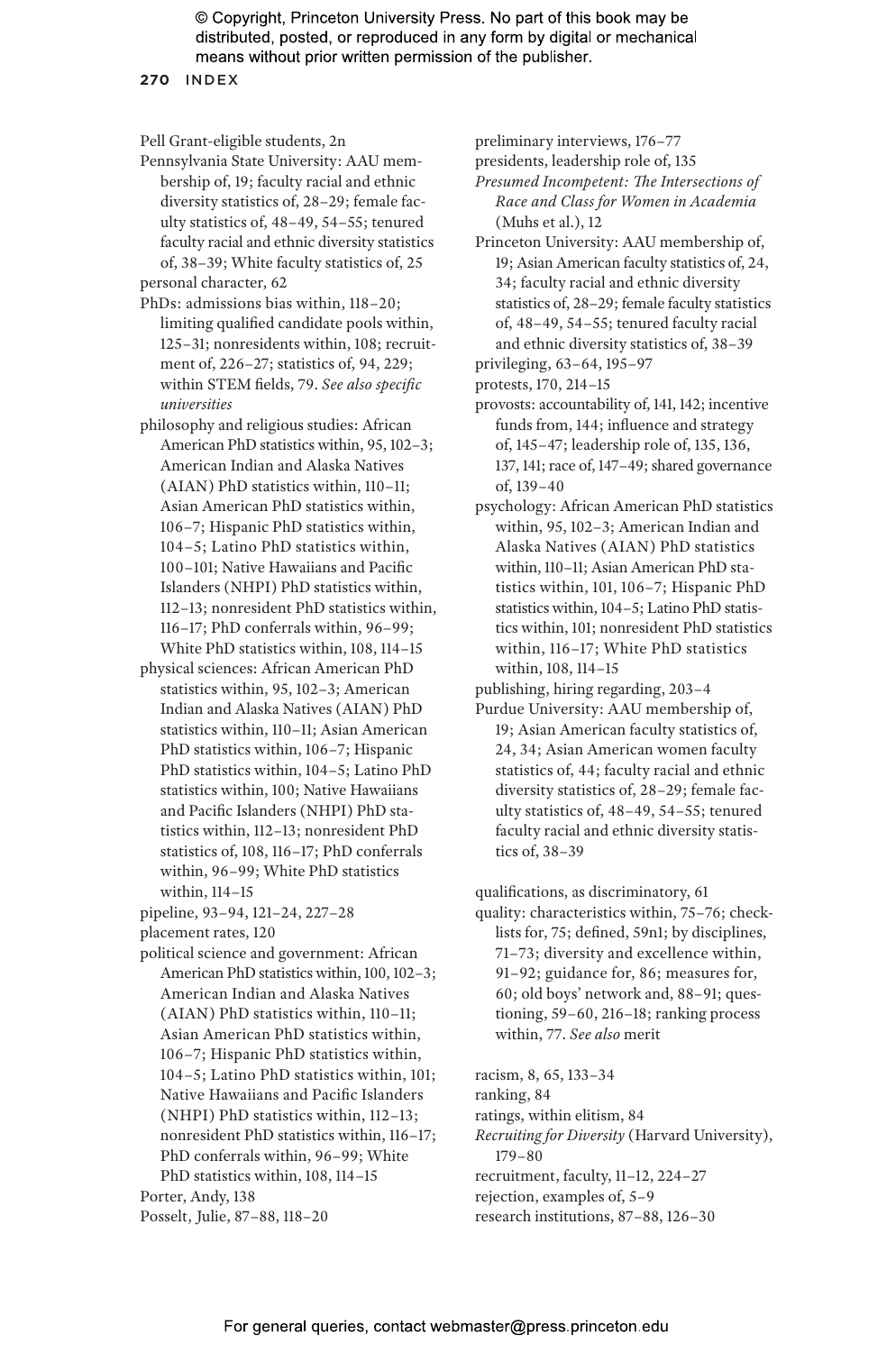**270** INDEX

Pell Grant-eligible students, 2n

- Pennsylvania State University: AAU membership of, 19; faculty racial and ethnic diversity statistics of, 28–29; female faculty statistics of, 48–49, 54–55; tenured faculty racial and ethnic diversity statistics of, 38–39; White faculty statistics of, 25 personal character, 62
- PhDs: admissions bias within, 118–20; limiting qualified candidate pools within, 125–31; nonresidents within, 108; recruitment of, 226–27; statistics of, 94, 229; within STEM fields, 79. *See also specific universities*
- philosophy and religious studies: African American PhD statistics within, 95, 102–3; American Indian and Alaska Natives (AIAN) PhD statistics within, 110–11; Asian American PhD statistics within, 106–7; Hispanic PhD statistics within, 104–5; Latino PhD statistics within, 100–101; Native Hawaiians and Pacific Islanders (NHPI) PhD statistics within, 112–13; nonresident PhD statistics within, 116–17; PhD conferrals within, 96–99; White PhD statistics within, 108, 114–15
- physical sciences: African American PhD statistics within, 95, 102–3; American Indian and Alaska Natives (AIAN) PhD statistics within, 110–11; Asian American PhD statistics within, 106–7; Hispanic PhD statistics within, 104–5; Latino PhD statistics within, 100; Native Hawaiians and Pacific Islanders (NHPI) PhD statistics within, 112–13; nonresident PhD statistics of, 108, 116–17; PhD conferrals within, 96–99; White PhD statistics within, 114–15
- pipeline, 93–94, 121–24, 227–28
- placement rates, 120
- political science and government: African American PhD statistics within, 100, 102–3; American Indian and Alaska Natives (AIAN) PhD statistics within, 110–11; Asian American PhD statistics within, 106–7; Hispanic PhD statistics within, 104–5; Latino PhD statistics within, 101; Native Hawaiians and Pacific Islanders (NHPI) PhD statistics within, 112–13; nonresident PhD statistics within, 116–17; PhD conferrals within, 96–99; White PhD statistics within, 108, 114–15 Porter, Andy, 138

preliminary interviews, 176–77

presidents, leadership role of, 135

- *Presumed Incompetent: The Intersections of Race and Class for Women in Academia* (Muhs et al.), 12
- Princeton University: AAU membership of, 19; Asian American faculty statistics of, 24, 34; faculty racial and ethnic diversity statistics of, 28–29; female faculty statistics of, 48–49, 54–55; tenured faculty racial and ethnic diversity statistics of, 38–39

privileging, 63–64, 195–97

protests, 170, 214–15

- provosts: accountability of, 141, 142; incentive funds from, 144; influence and strategy of, 145–47; leadership role of, 135, 136, 137, 141; race of, 147–49; shared governance of, 139–40
- psychology: African American PhD statistics within, 95, 102–3; American Indian and Alaska Natives (AIAN) PhD statistics within, 110–11; Asian American PhD statistics within, 101, 106–7; Hispanic PhD statistics within, 104–5; Latino PhD statistics within, 101; nonresident PhD statistics within, 116–17; White PhD statistics within, 108, 114–15

publishing, hiring regarding, 203–4

Purdue University: AAU membership of, 19; Asian American faculty statistics of, 24, 34; Asian American women faculty statistics of, 44; faculty racial and ethnic diversity statistics of, 28–29; female faculty statistics of, 48–49, 54–55; tenured faculty racial and ethnic diversity statistics of, 38–39

qualifications, as discriminatory, 61 quality: characteristics within, 75–76; checklists for, 75; defined, 59n1; by disciplines, 71–73; diversity and excellence within, 91–92; guidance for, 86; measures for, 60; old boys' network and, 88–91; questioning, 59–60, 216–18; ranking process within, 77. *See also* merit

racism, 8, 65, 133–34

ranking, 84

ratings, within elitism, 84

*Recruiting for Diversity* (Harvard University), 179–80

recruitment, faculty, 11–12, 224–27

rejection, examples of, 5–9

research institutions, 87–88, 126–30

Posselt, Julie, 87–88, 118–20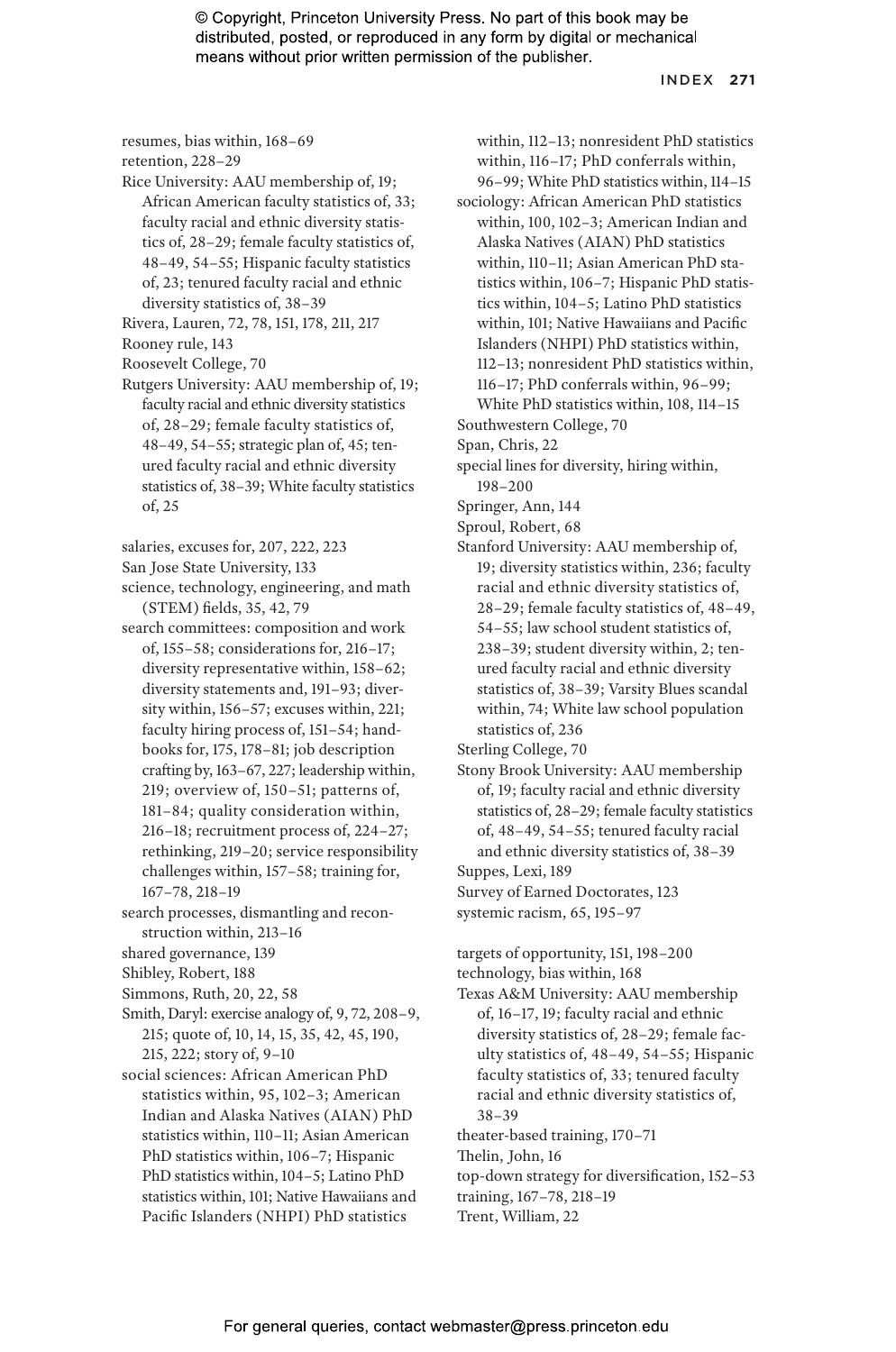INDEX **271**

- resumes, bias within, 168–69 retention, 228–29
- Rice University: AAU membership of, 19; African American faculty statistics of, 33; faculty racial and ethnic diversity statistics of, 28–29; female faculty statistics of, 48–49, 54–55; Hispanic faculty statistics of, 23; tenured faculty racial and ethnic diversity statistics of, 38–39
- Rivera, Lauren, 72, 78, 151, 178, 211, 217
- Rooney rule, 143
- Roosevelt College, 70
- Rutgers University: AAU membership of, 19; faculty racial and ethnic diversity statistics of, 28–29; female faculty statistics of, 48–49, 54–55; strategic plan of, 45; tenured faculty racial and ethnic diversity statistics of, 38–39; White faculty statistics of, 25
- salaries, excuses for, 207, 222, 223
- San Jose State University, 133
- science, technology, engineering, and math (STEM) fields, 35, 42, 79
- search committees: composition and work of, 155–58; considerations for, 216–17; diversity representative within, 158–62; diversity statements and, 191–93; diversity within, 156–57; excuses within, 221; faculty hiring process of, 151–54; handbooks for, 175, 178–81; job description crafting by, 163–67, 227; leadership within, 219; overview of, 150–51; patterns of, 181–84; quality consideration within, 216–18; recruitment process of, 224–27; rethinking, 219–20; service responsibility challenges within, 157–58; training for, 167–78, 218–19
- search processes, dismantling and reconstruction within, 213–16
- shared governance, 139
- Shibley, Robert, 188
- Simmons, Ruth, 20, 22, 58
- Smith, Daryl: exercise analogy of, 9, 72, 208–9, 215; quote of, 10, 14, 15, 35, 42, 45, 190, 215, 222; story of, 9–10
- social sciences: African American PhD statistics within, 95, 102–3; American Indian and Alaska Natives (AIAN) PhD statistics within, 110–11; Asian American PhD statistics within, 106–7; Hispanic PhD statistics within, 104–5; Latino PhD statistics within, 101; Native Hawaiians and Pacific Islanders (NHPI) PhD statistics

within, 112–13; nonresident PhD statistics within, 116–17; PhD conferrals within, 96–99; White PhD statistics within, 114–15

- sociology: African American PhD statistics within, 100, 102–3; American Indian and Alaska Natives (AIAN) PhD statistics within, 110–11; Asian American PhD statistics within, 106–7; Hispanic PhD statistics within, 104–5; Latino PhD statistics within, 101; Native Hawaiians and Pacific Islanders (NHPI) PhD statistics within, 112–13; nonresident PhD statistics within, 116–17; PhD conferrals within, 96–99; White PhD statistics within, 108, 114–15
- Southwestern College, 70
- Span, Chris, 22
- special lines for diversity, hiring within, 198–200
- Springer, Ann, 144
- Sproul, Robert, 68
- Stanford University: AAU membership of, 19; diversity statistics within, 236; faculty racial and ethnic diversity statistics of, 28–29; female faculty statistics of, 48–49, 54–55; law school student statistics of, 238–39; student diversity within, 2; tenured faculty racial and ethnic diversity statistics of, 38–39; Varsity Blues scandal within, 74; White law school population statistics of, 236
- Sterling College, 70
- Stony Brook University: AAU membership of, 19; faculty racial and ethnic diversity statistics of, 28–29; female faculty statistics of, 48–49, 54–55; tenured faculty racial and ethnic diversity statistics of, 38–39
- Suppes, Lexi, 189
- Survey of Earned Doctorates, 123
- systemic racism, 65, 195–97
- targets of opportunity, 151, 198–200 technology, bias within, 168
- Texas A&M University: AAU membership of, 16–17, 19; faculty racial and ethnic diversity statistics of, 28–29; female faculty statistics of, 48–49, 54–55; Hispanic faculty statistics of, 33; tenured faculty racial and ethnic diversity statistics of, 38–39
- theater-based training, 170–71
- Thelin, John, 16
- top-down strategy for diversification, 152–53 training, 167–78, 218–19
- Trent, William, 22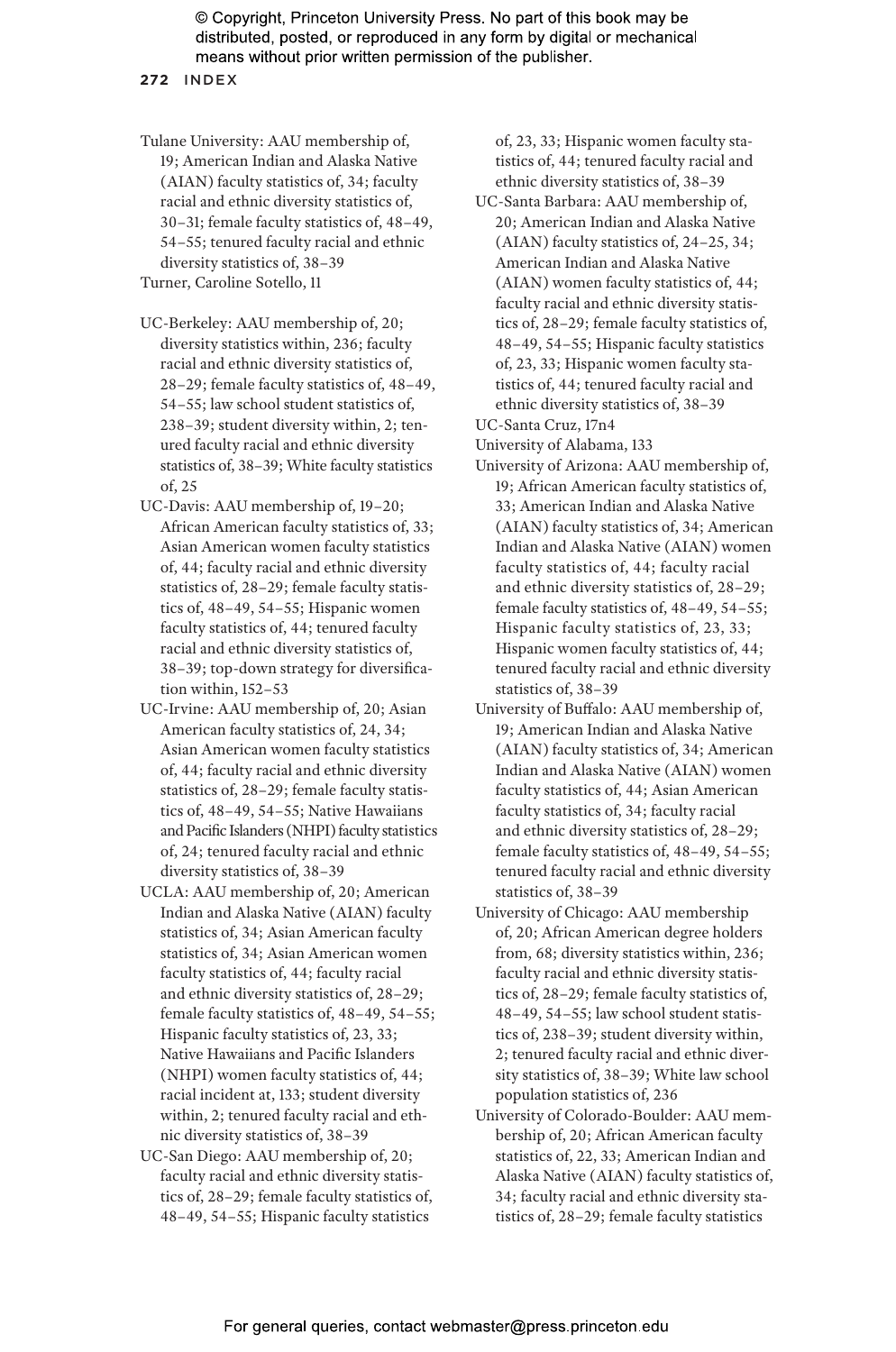**272** INDEX

Tulane University: AAU membership of, 19; American Indian and Alaska Native (AIAN) faculty statistics of, 34; faculty racial and ethnic diversity statistics of, 30–31; female faculty statistics of, 48–49, 54–55; tenured faculty racial and ethnic diversity statistics of, 38–39 Turner, Caroline Sotello, 11

UC-Berkeley: AAU membership of, 20; diversity statistics within, 236; faculty racial and ethnic diversity statistics of, 28–29; female faculty statistics of, 48–49, 54–55; law school student statistics of, 238–39; student diversity within, 2; tenured faculty racial and ethnic diversity statistics of, 38–39; White faculty statistics of, 25

UC-Davis: AAU membership of, 19–20; African American faculty statistics of, 33; Asian American women faculty statistics of, 44; faculty racial and ethnic diversity statistics of, 28–29; female faculty statistics of, 48–49, 54–55; Hispanic women faculty statistics of, 44; tenured faculty racial and ethnic diversity statistics of, 38–39; top-down strategy for diversification within, 152–53

UC-Irvine: AAU membership of, 20; Asian American faculty statistics of, 24, 34; Asian American women faculty statistics of, 44; faculty racial and ethnic diversity statistics of, 28–29; female faculty statistics of, 48–49, 54–55; Native Hawaiians and Pacific Islanders (NHPI) faculty statistics of, 24; tenured faculty racial and ethnic diversity statistics of, 38–39

UCLA: AAU membership of, 20; American Indian and Alaska Native (AIAN) faculty statistics of, 34; Asian American faculty statistics of, 34; Asian American women faculty statistics of, 44; faculty racial and ethnic diversity statistics of, 28–29; female faculty statistics of, 48–49, 54–55; Hispanic faculty statistics of, 23, 33; Native Hawaiians and Pacific Islanders (NHPI) women faculty statistics of, 44; racial incident at, 133; student diversity within, 2; tenured faculty racial and ethnic diversity statistics of, 38–39

UC-San Diego: AAU membership of, 20; faculty racial and ethnic diversity statistics of, 28–29; female faculty statistics of, 48–49, 54–55; Hispanic faculty statistics

of, 23, 33; Hispanic women faculty statistics of, 44; tenured faculty racial and ethnic diversity statistics of, 38–39

UC-Santa Barbara: AAU membership of, 20; American Indian and Alaska Native (AIAN) faculty statistics of, 24–25, 34; American Indian and Alaska Native (AIAN) women faculty statistics of, 44; faculty racial and ethnic diversity statistics of, 28–29; female faculty statistics of, 48–49, 54–55; Hispanic faculty statistics of, 23, 33; Hispanic women faculty statistics of, 44; tenured faculty racial and ethnic diversity statistics of, 38–39

UC-Santa Cruz, 17n4

University of Alabama, 133

University of Arizona: AAU membership of, 19; African American faculty statistics of, 33; American Indian and Alaska Native (AIAN) faculty statistics of, 34; American Indian and Alaska Native (AIAN) women faculty statistics of, 44; faculty racial and ethnic diversity statistics of, 28–29; female faculty statistics of, 48–49, 54–55; Hispanic faculty statistics of, 23, 33; Hispanic women faculty statistics of, 44; tenured faculty racial and ethnic diversity statistics of, 38–39

University of Buffalo: AAU membership of, 19; American Indian and Alaska Native (AIAN) faculty statistics of, 34; American Indian and Alaska Native (AIAN) women faculty statistics of, 44; Asian American faculty statistics of, 34; faculty racial and ethnic diversity statistics of, 28–29; female faculty statistics of, 48–49, 54–55; tenured faculty racial and ethnic diversity statistics of, 38–39

University of Chicago: AAU membership of, 20; African American degree holders from, 68; diversity statistics within, 236; faculty racial and ethnic diversity statistics of, 28–29; female faculty statistics of, 48–49, 54–55; law school student statistics of, 238–39; student diversity within, 2; tenured faculty racial and ethnic diversity statistics of, 38–39; White law school population statistics of, 236

University of Colorado-Boulder: AAU membership of, 20; African American faculty statistics of, 22, 33; American Indian and Alaska Native (AIAN) faculty statistics of, 34; faculty racial and ethnic diversity statistics of, 28–29; female faculty statistics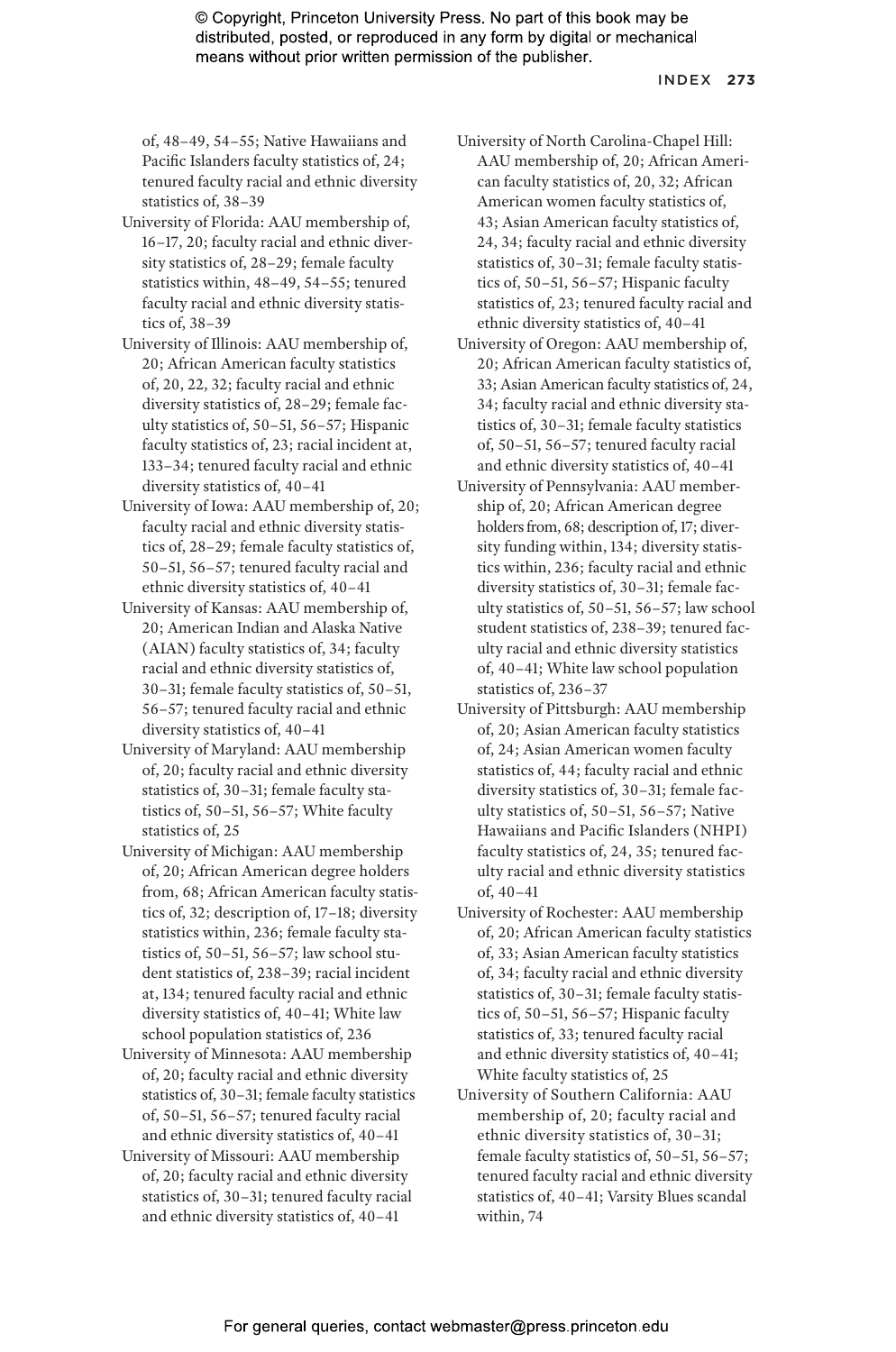#### INDEX **273**

of, 48–49, 54–55; Native Hawaiians and Pacific Islanders faculty statistics of, 24; tenured faculty racial and ethnic diversity statistics of, 38–39

- University of Florida: AAU membership of, 16–17, 20; faculty racial and ethnic diversity statistics of, 28–29; female faculty statistics within, 48–49, 54–55; tenured faculty racial and ethnic diversity statistics of, 38–39
- University of Illinois: AAU membership of, 20; African American faculty statistics of, 20, 22, 32; faculty racial and ethnic diversity statistics of, 28–29; female faculty statistics of, 50–51, 56–57; Hispanic faculty statistics of, 23; racial incident at, 133–34; tenured faculty racial and ethnic diversity statistics of, 40–41
- University of Iowa: AAU membership of, 20; faculty racial and ethnic diversity statistics of, 28–29; female faculty statistics of, 50–51, 56–57; tenured faculty racial and ethnic diversity statistics of, 40–41
- University of Kansas: AAU membership of, 20; American Indian and Alaska Native (AIAN) faculty statistics of, 34; faculty racial and ethnic diversity statistics of, 30–31; female faculty statistics of, 50–51, 56–57; tenured faculty racial and ethnic diversity statistics of, 40–41
- University of Maryland: AAU membership of, 20; faculty racial and ethnic diversity statistics of, 30–31; female faculty statistics of, 50–51, 56–57; White faculty statistics of, 25
- University of Michigan: AAU membership of, 20; African American degree holders from, 68; African American faculty statistics of, 32; description of, 17–18; diversity statistics within, 236; female faculty statistics of, 50–51, 56–57; law school student statistics of, 238–39; racial incident at, 134; tenured faculty racial and ethnic diversity statistics of, 40–41; White law school population statistics of, 236
- University of Minnesota: AAU membership of, 20; faculty racial and ethnic diversity statistics of, 30–31; female faculty statistics of, 50–51, 56–57; tenured faculty racial and ethnic diversity statistics of, 40–41
- University of Missouri: AAU membership of, 20; faculty racial and ethnic diversity statistics of, 30–31; tenured faculty racial and ethnic diversity statistics of, 40–41
- University of North Carolina-Chapel Hill: AAU membership of, 20; African American faculty statistics of, 20, 32; African American women faculty statistics of, 43; Asian American faculty statistics of, 24, 34; faculty racial and ethnic diversity statistics of, 30–31; female faculty statistics of, 50–51, 56–57; Hispanic faculty statistics of, 23; tenured faculty racial and ethnic diversity statistics of, 40–41
- University of Oregon: AAU membership of, 20; African American faculty statistics of, 33; Asian American faculty statistics of, 24, 34; faculty racial and ethnic diversity statistics of, 30–31; female faculty statistics of, 50–51, 56–57; tenured faculty racial and ethnic diversity statistics of, 40–41
- University of Pennsylvania: AAU membership of, 20; African American degree holders from, 68; description of, 17; diversity funding within, 134; diversity statistics within, 236; faculty racial and ethnic diversity statistics of, 30–31; female faculty statistics of, 50–51, 56–57; law school student statistics of, 238–39; tenured faculty racial and ethnic diversity statistics of, 40–41; White law school population statistics of, 236–37
- University of Pittsburgh: AAU membership of, 20; Asian American faculty statistics of, 24; Asian American women faculty statistics of, 44; faculty racial and ethnic diversity statistics of, 30–31; female faculty statistics of, 50–51, 56–57; Native Hawaiians and Pacific Islanders (NHPI) faculty statistics of, 24, 35; tenured faculty racial and ethnic diversity statistics of, 40–41
- University of Rochester: AAU membership of, 20; African American faculty statistics of, 33; Asian American faculty statistics of, 34; faculty racial and ethnic diversity statistics of, 30–31; female faculty statistics of, 50–51, 56–57; Hispanic faculty statistics of, 33; tenured faculty racial and ethnic diversity statistics of, 40–41; White faculty statistics of, 25
- University of Southern California: AAU membership of, 20; faculty racial and ethnic diversity statistics of, 30–31; female faculty statistics of, 50–51, 56–57; tenured faculty racial and ethnic diversity statistics of, 40–41; Varsity Blues scandal within, 74